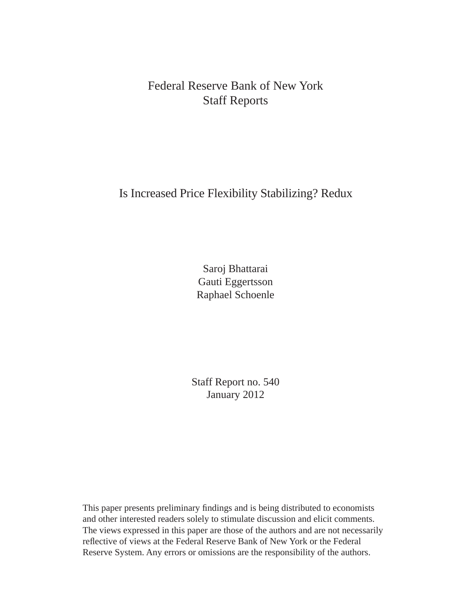Federal Reserve Bank of New York Staff Reports

# Is Increased Price Flexibility Stabilizing? Redux

Saroj Bhattarai Gauti Eggertsson Raphael Schoenle

Staff Report no. 540 January 2012

This paper presents preliminary findings and is being distributed to economists and other interested readers solely to stimulate discussion and elicit comments. The views expressed in this paper are those of the authors and are not necessarily reflective of views at the Federal Reserve Bank of New York or the Federal Reserve System. Any errors or omissions are the responsibility of the authors.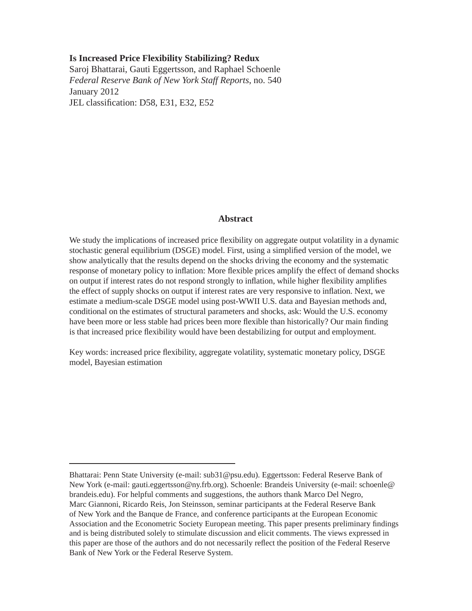#### **Is Increased Price Flexibility Stabilizing? Redux**

Saroj Bhattarai, Gauti Eggertsson, and Raphael Schoenle *Federal Reserve Bank of New York Staff Reports*, no. 540 January 2012 JEL classification: D58, E31, E32, E52

#### **Abstract**

We study the implications of increased price flexibility on aggregate output volatility in a dynamic stochastic general equilibrium (DSGE) model. First, using a simplified version of the model, we show analytically that the results depend on the shocks driving the economy and the systematic response of monetary policy to inflation: More flexible prices amplify the effect of demand shocks on output if interest rates do not respond strongly to inflation, while higher flexibility amplifies the effect of supply shocks on output if interest rates are very responsive to inflation. Next, we estimate a medium-scale DSGE model using post-WWII U.S. data and Bayesian methods and, conditional on the estimates of structural parameters and shocks, ask: Would the U.S. economy have been more or less stable had prices been more flexible than historically? Our main finding is that increased price flexibility would have been destabilizing for output and employment.

Key words: increased price flexibility, aggregate volatility, systematic monetary policy, DSGE model, Bayesian estimation

Bhattarai: Penn State University (e-mail: sub31@psu.edu). Eggertsson: Federal Reserve Bank of New York (e-mail: gauti.eggertsson@ny.frb.org). Schoenle: Brandeis University (e-mail: schoenle@ brandeis.edu). For helpful comments and suggestions, the authors thank Marco Del Negro, Marc Giannoni, Ricardo Reis, Jon Steinsson, seminar participants at the Federal Reserve Bank of New York and the Banque de France, and conference participants at the European Economic Association and the Econometric Society European meeting. This paper presents preliminary findings and is being distributed solely to stimulate discussion and elicit comments. The views expressed in this paper are those of the authors and do not necessarily reflect the position of the Federal Reserve Bank of New York or the Federal Reserve System.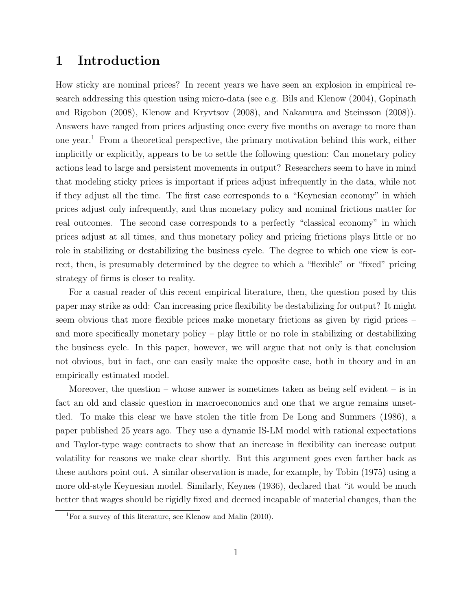# 1 Introduction

How sticky are nominal prices? In recent years we have seen an explosion in empirical research addressing this question using micro-data (see e.g. Bils and Klenow (2004), Gopinath and Rigobon (2008), Klenow and Kryvtsov (2008), and Nakamura and Steinsson (2008)). Answers have ranged from prices adjusting once every five months on average to more than one year.<sup>1</sup> From a theoretical perspective, the primary motivation behind this work, either implicitly or explicitly, appears to be to settle the following question: Can monetary policy actions lead to large and persistent movements in output? Researchers seem to have in mind that modeling sticky prices is important if prices adjust infrequently in the data, while not if they adjust all the time. The first case corresponds to a "Keynesian economy" in which prices adjust only infrequently, and thus monetary policy and nominal frictions matter for real outcomes. The second case corresponds to a perfectly "classical economy" in which prices adjust at all times, and thus monetary policy and pricing frictions plays little or no role in stabilizing or destabilizing the business cycle. The degree to which one view is correct, then, is presumably determined by the degree to which a "flexible" or "fixed" pricing strategy of firms is closer to reality.

For a casual reader of this recent empirical literature, then, the question posed by this paper may strike as odd: Can increasing price flexibility be destabilizing for output? It might seem obvious that more flexible prices make monetary frictions as given by rigid prices – and more specifically monetary policy – play little or no role in stabilizing or destabilizing the business cycle. In this paper, however, we will argue that not only is that conclusion not obvious, but in fact, one can easily make the opposite case, both in theory and in an empirically estimated model.

Moreover, the question – whose answer is sometimes taken as being self evident – is in fact an old and classic question in macroeconomics and one that we argue remains unsettled. To make this clear we have stolen the title from De Long and Summers (1986), a paper published 25 years ago. They use a dynamic IS-LM model with rational expectations and Taylor-type wage contracts to show that an increase in flexibility can increase output volatility for reasons we make clear shortly. But this argument goes even farther back as these authors point out. A similar observation is made, for example, by Tobin (1975) using a more old-style Keynesian model. Similarly, Keynes (1936), declared that "it would be much better that wages should be rigidly fixed and deemed incapable of material changes, than the

<sup>&</sup>lt;sup>1</sup>For a survey of this literature, see Klenow and Malin  $(2010)$ .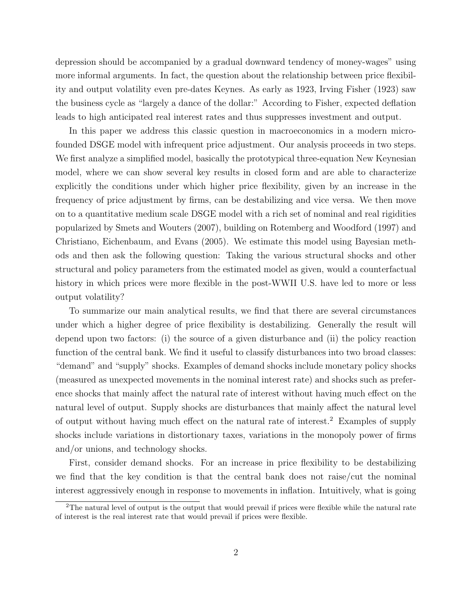depression should be accompanied by a gradual downward tendency of money-wages" using more informal arguments. In fact, the question about the relationship between price flexibility and output volatility even pre-dates Keynes. As early as 1923, Irving Fisher (1923) saw the business cycle as "largely a dance of the dollar:" According to Fisher, expected deflation leads to high anticipated real interest rates and thus suppresses investment and output.

In this paper we address this classic question in macroeconomics in a modern microfounded DSGE model with infrequent price adjustment. Our analysis proceeds in two steps. We first analyze a simplified model, basically the prototypical three-equation New Keynesian model, where we can show several key results in closed form and are able to characterize explicitly the conditions under which higher price flexibility, given by an increase in the frequency of price adjustment by firms, can be destabilizing and vice versa. We then move on to a quantitative medium scale DSGE model with a rich set of nominal and real rigidities popularized by Smets and Wouters (2007), building on Rotemberg and Woodford (1997) and Christiano, Eichenbaum, and Evans (2005). We estimate this model using Bayesian methods and then ask the following question: Taking the various structural shocks and other structural and policy parameters from the estimated model as given, would a counterfactual history in which prices were more flexible in the post-WWII U.S. have led to more or less output volatility?

To summarize our main analytical results, we find that there are several circumstances under which a higher degree of price flexibility is destabilizing. Generally the result will depend upon two factors: (i) the source of a given disturbance and (ii) the policy reaction function of the central bank. We find it useful to classify disturbances into two broad classes: "demand" and "supply" shocks. Examples of demand shocks include monetary policy shocks (measured as unexpected movements in the nominal interest rate) and shocks such as preference shocks that mainly affect the natural rate of interest without having much effect on the natural level of output. Supply shocks are disturbances that mainly affect the natural level of output without having much effect on the natural rate of interest.<sup>2</sup> Examples of supply shocks include variations in distortionary taxes, variations in the monopoly power of firms and/or unions, and technology shocks.

First, consider demand shocks. For an increase in price flexibility to be destabilizing we find that the key condition is that the central bank does not raise/cut the nominal interest aggressively enough in response to movements in inflation. Intuitively, what is going

<sup>&</sup>lt;sup>2</sup>The natural level of output is the output that would prevail if prices were flexible while the natural rate of interest is the real interest rate that would prevail if prices were flexible.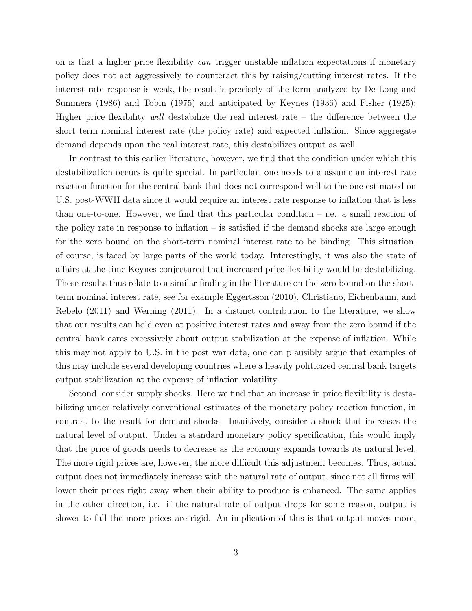on is that a higher price flexibility can trigger unstable inflation expectations if monetary policy does not act aggressively to counteract this by raising/cutting interest rates. If the interest rate response is weak, the result is precisely of the form analyzed by De Long and Summers (1986) and Tobin (1975) and anticipated by Keynes (1936) and Fisher (1925): Higher price flexibility will destabilize the real interest rate – the difference between the short term nominal interest rate (the policy rate) and expected inflation. Since aggregate demand depends upon the real interest rate, this destabilizes output as well.

In contrast to this earlier literature, however, we find that the condition under which this destabilization occurs is quite special. In particular, one needs to a assume an interest rate reaction function for the central bank that does not correspond well to the one estimated on U.S. post-WWII data since it would require an interest rate response to inflation that is less than one-to-one. However, we find that this particular condition  $-$  i.e. a small reaction of the policy rate in response to inflation – is satisfied if the demand shocks are large enough for the zero bound on the short-term nominal interest rate to be binding. This situation, of course, is faced by large parts of the world today. Interestingly, it was also the state of affairs at the time Keynes conjectured that increased price flexibility would be destabilizing. These results thus relate to a similar finding in the literature on the zero bound on the shortterm nominal interest rate, see for example Eggertsson (2010), Christiano, Eichenbaum, and Rebelo (2011) and Werning (2011). In a distinct contribution to the literature, we show that our results can hold even at positive interest rates and away from the zero bound if the central bank cares excessively about output stabilization at the expense of inflation. While this may not apply to U.S. in the post war data, one can plausibly argue that examples of this may include several developing countries where a heavily politicized central bank targets output stabilization at the expense of inflation volatility.

Second, consider supply shocks. Here we find that an increase in price flexibility is destabilizing under relatively conventional estimates of the monetary policy reaction function, in contrast to the result for demand shocks. Intuitively, consider a shock that increases the natural level of output. Under a standard monetary policy specification, this would imply that the price of goods needs to decrease as the economy expands towards its natural level. The more rigid prices are, however, the more difficult this adjustment becomes. Thus, actual output does not immediately increase with the natural rate of output, since not all firms will lower their prices right away when their ability to produce is enhanced. The same applies in the other direction, i.e. if the natural rate of output drops for some reason, output is slower to fall the more prices are rigid. An implication of this is that output moves more,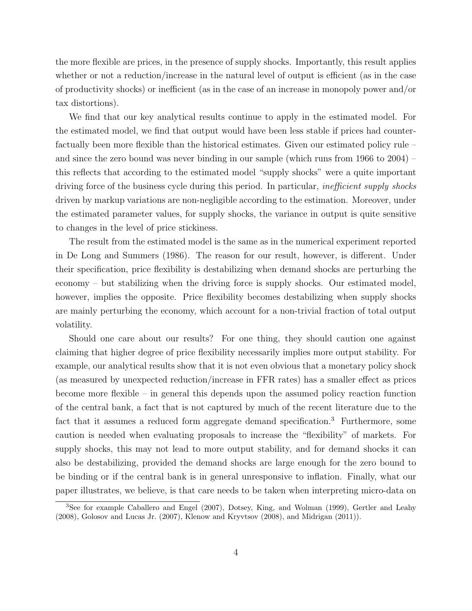the more flexible are prices, in the presence of supply shocks. Importantly, this result applies whether or not a reduction/increase in the natural level of output is efficient (as in the case of productivity shocks) or inefficient (as in the case of an increase in monopoly power and/or tax distortions).

We find that our key analytical results continue to apply in the estimated model. For the estimated model, we find that output would have been less stable if prices had counterfactually been more flexible than the historical estimates. Given our estimated policy rule – and since the zero bound was never binding in our sample (which runs from 1966 to 2004) – this reflects that according to the estimated model "supply shocks" were a quite important driving force of the business cycle during this period. In particular, *inefficient supply shocks* driven by markup variations are non-negligible according to the estimation. Moreover, under the estimated parameter values, for supply shocks, the variance in output is quite sensitive to changes in the level of price stickiness.

The result from the estimated model is the same as in the numerical experiment reported in De Long and Summers (1986). The reason for our result, however, is different. Under their specification, price flexibility is destabilizing when demand shocks are perturbing the economy – but stabilizing when the driving force is supply shocks. Our estimated model, however, implies the opposite. Price flexibility becomes destabilizing when supply shocks are mainly perturbing the economy, which account for a non-trivial fraction of total output volatility.

Should one care about our results? For one thing, they should caution one against claiming that higher degree of price flexibility necessarily implies more output stability. For example, our analytical results show that it is not even obvious that a monetary policy shock (as measured by unexpected reduction/increase in FFR rates) has a smaller effect as prices become more flexible – in general this depends upon the assumed policy reaction function of the central bank, a fact that is not captured by much of the recent literature due to the fact that it assumes a reduced form aggregate demand specification.<sup>3</sup> Furthermore, some caution is needed when evaluating proposals to increase the "flexibility" of markets. For supply shocks, this may not lead to more output stability, and for demand shocks it can also be destabilizing, provided the demand shocks are large enough for the zero bound to be binding or if the central bank is in general unresponsive to inflation. Finally, what our paper illustrates, we believe, is that care needs to be taken when interpreting micro-data on

<sup>3</sup>See for example Caballero and Engel (2007), Dotsey, King, and Wolman (1999), Gertler and Leahy (2008), Golosov and Lucas Jr. (2007), Klenow and Kryvtsov (2008), and Midrigan (2011)).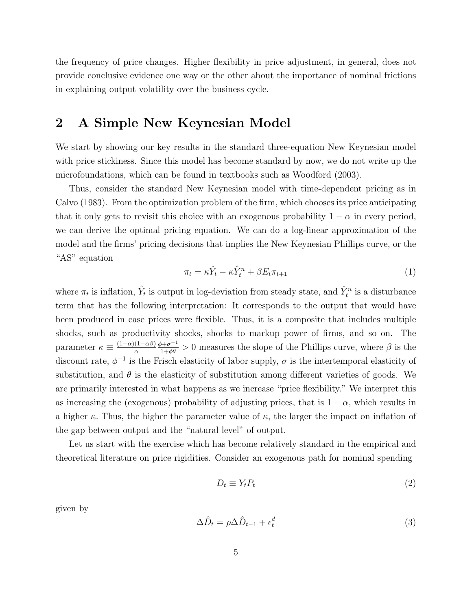the frequency of price changes. Higher flexibility in price adjustment, in general, does not provide conclusive evidence one way or the other about the importance of nominal frictions in explaining output volatility over the business cycle.

# 2 A Simple New Keynesian Model

We start by showing our key results in the standard three-equation New Keynesian model with price stickiness. Since this model has become standard by now, we do not write up the microfoundations, which can be found in textbooks such as Woodford (2003).

Thus, consider the standard New Keynesian model with time-dependent pricing as in Calvo (1983). From the optimization problem of the firm, which chooses its price anticipating that it only gets to revisit this choice with an exogenous probability  $1 - \alpha$  in every period, we can derive the optimal pricing equation. We can do a log-linear approximation of the model and the firms' pricing decisions that implies the New Keynesian Phillips curve, or the "AS" equation

$$
\pi_t = \kappa \hat{Y}_t - \kappa \hat{Y}_t^n + \beta E_t \pi_{t+1} \tag{1}
$$

where  $\pi_t$  is inflation,  $\hat{Y}_t$  is output in log-deviation from steady state, and  $\hat{Y}_t^n$  is a disturbance term that has the following interpretation: It corresponds to the output that would have been produced in case prices were flexible. Thus, it is a composite that includes multiple shocks, such as productivity shocks, shocks to markup power of firms, and so on. The parameter  $\kappa \equiv \frac{(1-\alpha)(1-\alpha\beta)}{\alpha}$ α  $\frac{\phi + \sigma^{-1}}{1 + \phi \theta} > 0$  measures the slope of the Phillips curve, where  $\beta$  is the discount rate,  $\phi^{-1}$  is the Frisch elasticity of labor supply,  $\sigma$  is the intertemporal elasticity of substitution, and  $\theta$  is the elasticity of substitution among different varieties of goods. We are primarily interested in what happens as we increase "price flexibility." We interpret this as increasing the (exogenous) probability of adjusting prices, that is  $1 - \alpha$ , which results in a higher  $\kappa$ . Thus, the higher the parameter value of  $\kappa$ , the larger the impact on inflation of the gap between output and the "natural level" of output.

Let us start with the exercise which has become relatively standard in the empirical and theoretical literature on price rigidities. Consider an exogenous path for nominal spending

$$
D_t \equiv Y_t P_t \tag{2}
$$

given by

$$
\Delta \hat{D}_t = \rho \Delta \hat{D}_{t-1} + \epsilon_t^d \tag{3}
$$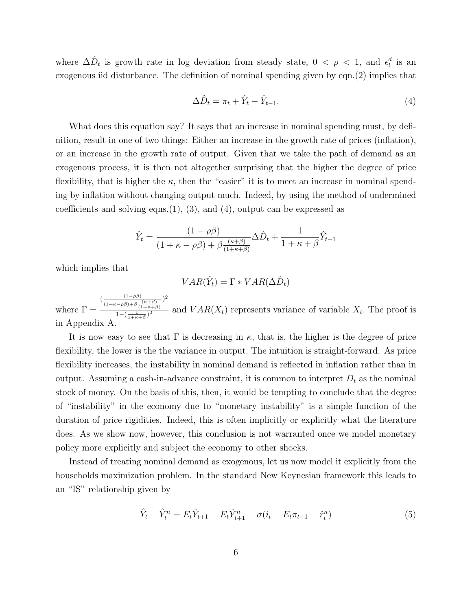where  $\Delta \hat{D}_t$  is growth rate in log deviation from steady state,  $0 < \rho < 1$ , and  $\epsilon_t^d$  is an exogenous iid disturbance. The definition of nominal spending given by eqn.(2) implies that

$$
\Delta \hat{D}_t = \pi_t + \hat{Y}_t - \hat{Y}_{t-1}.
$$
\n
$$
(4)
$$

What does this equation say? It says that an increase in nominal spending must, by definition, result in one of two things: Either an increase in the growth rate of prices (inflation), or an increase in the growth rate of output. Given that we take the path of demand as an exogenous process, it is then not altogether surprising that the higher the degree of price flexibility, that is higher the  $\kappa$ , then the "easier" it is to meet an increase in nominal spending by inflation without changing output much. Indeed, by using the method of undermined coefficients and solving eqns. $(1)$ ,  $(3)$ , and  $(4)$ , output can be expressed as

$$
\hat{Y}_t = \frac{(1 - \rho \beta)}{(1 + \kappa - \rho \beta) + \beta \frac{(\kappa + \beta)}{(1 + \kappa + \beta)}} \Delta \hat{D}_t + \frac{1}{1 + \kappa + \beta} \hat{Y}_{t-1}
$$

which implies that

$$
VAR(\hat{Y}_t) = \Gamma * VAR(\Delta \hat{D}_t)
$$

where  $\Gamma =$  $\left(\frac{(1-\rho\beta)}{2}\right)$  $(1+\kappa-\rho\beta)+\beta\frac{(\kappa+\beta)}{(1+\kappa+\beta)}$ ) 2  $\frac{1-\mu}{1-(\frac{1}{1+\kappa+\beta})^2}$  and  $VAR(X_t)$  represents variance of variable  $X_t$ . The proof is in Appendix A.

It is now easy to see that  $\Gamma$  is decreasing in  $\kappa$ , that is, the higher is the degree of price flexibility, the lower is the the variance in output. The intuition is straight-forward. As price flexibility increases, the instability in nominal demand is reflected in inflation rather than in output. Assuming a cash-in-advance constraint, it is common to interpret  $D_t$  as the nominal stock of money. On the basis of this, then, it would be tempting to conclude that the degree of "instability" in the economy due to "monetary instability" is a simple function of the duration of price rigidities. Indeed, this is often implicitly or explicitly what the literature does. As we show now, however, this conclusion is not warranted once we model monetary policy more explicitly and subject the economy to other shocks.

Instead of treating nominal demand as exogenous, let us now model it explicitly from the households maximization problem. In the standard New Keynesian framework this leads to an "IS" relationship given by

$$
\hat{Y}_t - \hat{Y}_t^n = E_t \hat{Y}_{t+1} - E_t \hat{Y}_{t+1}^n - \sigma(\hat{\imath}_t - E_t \pi_{t+1} - \hat{r}_t^n)
$$
\n(5)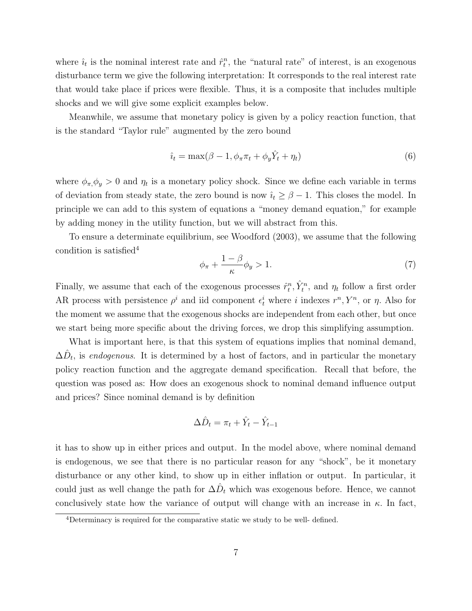where  $\hat{i}_t$  is the nominal interest rate and  $\hat{r}_t^n$ , the "natural rate" of interest, is an exogenous disturbance term we give the following interpretation: It corresponds to the real interest rate that would take place if prices were flexible. Thus, it is a composite that includes multiple shocks and we will give some explicit examples below.

Meanwhile, we assume that monetary policy is given by a policy reaction function, that is the standard "Taylor rule" augmented by the zero bound

$$
\hat{u}_t = \max(\beta - 1, \phi_\pi \pi_t + \phi_y \hat{Y}_t + \eta_t)
$$
\n<sup>(6)</sup>

where  $\phi_{\pi}, \phi_y > 0$  and  $\eta_t$  is a monetary policy shock. Since we define each variable in terms of deviation from steady state, the zero bound is now  $\hat{i}_t \geq \beta - 1$ . This closes the model. In principle we can add to this system of equations a "money demand equation," for example by adding money in the utility function, but we will abstract from this.

To ensure a determinate equilibrium, see Woodford (2003), we assume that the following condition is satisfied<sup>4</sup>

$$
\phi_{\pi} + \frac{1 - \beta}{\kappa} \phi_y > 1. \tag{7}
$$

Finally, we assume that each of the exogenous processes  $\hat{r}_t^n$ ,  $\hat{Y}_t^n$ , and  $\eta_t$  follow a first order AR process with persistence  $\rho^i$  and iid component  $\epsilon_t^i$  where i indexes  $r^n, Y^n$ , or  $\eta$ . Also for the moment we assume that the exogenous shocks are independent from each other, but once we start being more specific about the driving forces, we drop this simplifying assumption.

What is important here, is that this system of equations implies that nominal demand,  $\Delta \hat{D}_t$ , is endogenous. It is determined by a host of factors, and in particular the monetary policy reaction function and the aggregate demand specification. Recall that before, the question was posed as: How does an exogenous shock to nominal demand influence output and prices? Since nominal demand is by definition

$$
\Delta \hat{D}_t = \pi_t + \hat{Y}_t - \hat{Y}_{t-1}
$$

it has to show up in either prices and output. In the model above, where nominal demand is endogenous, we see that there is no particular reason for any "shock", be it monetary disturbance or any other kind, to show up in either inflation or output. In particular, it could just as well change the path for  $\Delta \hat{D}_t$  which was exogenous before. Hence, we cannot conclusively state how the variance of output will change with an increase in  $\kappa$ . In fact,

<sup>&</sup>lt;sup>4</sup>Determinacy is required for the comparative static we study to be well- defined.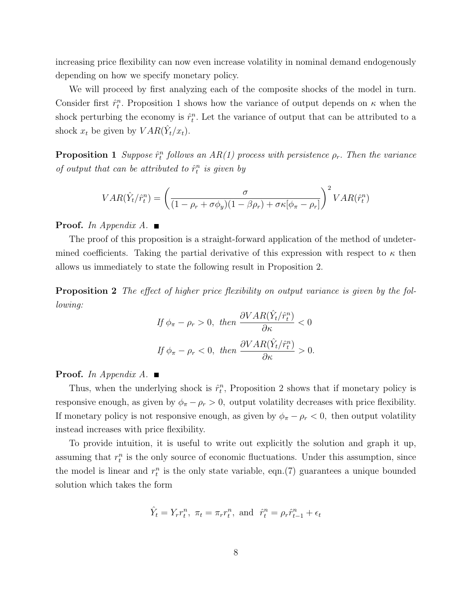increasing price flexibility can now even increase volatility in nominal demand endogenously depending on how we specify monetary policy.

We will proceed by first analyzing each of the composite shocks of the model in turn. Consider first  $\hat{r}_t^n$ . Proposition 1 shows how the variance of output depends on  $\kappa$  when the shock perturbing the economy is  $\hat{r}_t^n$ . Let the variance of output that can be attributed to a shock  $x_t$  be given by  $VAR(\hat{Y}_t/x_t)$ .

**Proposition 1** Suppose  $\hat{r}_t^n$  follows an AR(1) process with persistence  $\rho_r$ . Then the variance of output that can be attributed to  $\hat{r}_t^n$  is given by

$$
VAR(\hat{Y}_t / \hat{r}_t^n) = \left(\frac{\sigma}{(1 - \rho_r + \sigma \phi_y)(1 - \beta \rho_r) + \sigma \kappa [\phi_\pi - \rho_r]}\right)^2 VAR(\hat{r}_t^n)
$$

**Proof.** In Appendix A.  $\blacksquare$ 

The proof of this proposition is a straight-forward application of the method of undetermined coefficients. Taking the partial derivative of this expression with respect to  $\kappa$  then allows us immediately to state the following result in Proposition 2.

**Proposition 2** The effect of higher price flexibility on output variance is given by the following:

$$
If \phi_{\pi} - \rho_r > 0, \ then \frac{\partial VAR(\hat{Y}_t / \hat{r}_t^n)}{\partial \kappa} < 0
$$
  

$$
If \phi_{\pi} - \rho_r < 0, \ then \frac{\partial VAR(\hat{Y}_t / \hat{r}_t^n)}{\partial \kappa} > 0.
$$

**Proof.** In Appendix A.  $\blacksquare$ 

Thus, when the underlying shock is  $\hat{r}_t^n$ , Proposition 2 shows that if monetary policy is responsive enough, as given by  $\phi_{\pi} - \rho_r > 0$ , output volatility decreases with price flexibility. If monetary policy is not responsive enough, as given by  $\phi_{\pi} - \rho_r < 0$ , then output volatility instead increases with price flexibility.

To provide intuition, it is useful to write out explicitly the solution and graph it up, assuming that  $r_t^n$  is the only source of economic fluctuations. Under this assumption, since the model is linear and  $r_t^n$  is the only state variable, eqn.(7) guarantees a unique bounded solution which takes the form

$$
\hat{Y}_t = Y_r r_t^n
$$
,  $\pi_t = \pi_r r_t^n$ , and  $\hat{r}_t^n = \rho_r \hat{r}_{t-1}^n + \epsilon_t$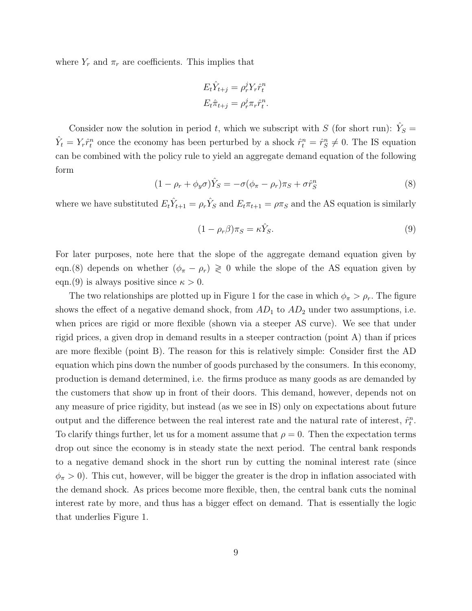where  $Y_r$  and  $\pi_r$  are coefficients. This implies that

$$
E_t \hat{Y}_{t+j} = \rho_r^j Y_r \hat{r}_t^n
$$
  

$$
E_t \hat{\pi}_{t+j} = \rho_r^j \pi_r \hat{r}_t^n.
$$

Consider now the solution in period t, which we subscript with S (for short run):  $\hat{Y}_S =$  $\hat{Y}_t = Y_r \hat{r}_t^n$  once the economy has been perturbed by a shock  $\hat{r}_t^n = \hat{r}_s^n \neq 0$ . The IS equation can be combined with the policy rule to yield an aggregate demand equation of the following form

$$
(1 - \rho_r + \phi_y \sigma) \hat{Y}_S = -\sigma (\phi_\pi - \rho_r) \pi_S + \sigma \hat{r}_S^n \tag{8}
$$

where we have substituted  $E_t \hat{Y}_{t+1} = \rho_r \hat{Y}_S$  and  $E_t \pi_{t+1} = \rho \pi_S$  and the AS equation is similarly

$$
(1 - \rho_r \beta) \pi_S = \kappa \hat{Y}_S. \tag{9}
$$

For later purposes, note here that the slope of the aggregate demand equation given by eqn.(8) depends on whether  $(\phi_{\pi} - \rho_r) \geq 0$  while the slope of the AS equation given by eqn.(9) is always positive since  $\kappa > 0$ .

The two relationships are plotted up in Figure 1 for the case in which  $\phi_{\pi} > \rho_r$ . The figure shows the effect of a negative demand shock, from  $AD_1$  to  $AD_2$  under two assumptions, i.e. when prices are rigid or more flexible (shown via a steeper AS curve). We see that under rigid prices, a given drop in demand results in a steeper contraction (point A) than if prices are more flexible (point B). The reason for this is relatively simple: Consider first the AD equation which pins down the number of goods purchased by the consumers. In this economy, production is demand determined, i.e. the firms produce as many goods as are demanded by the customers that show up in front of their doors. This demand, however, depends not on any measure of price rigidity, but instead (as we see in IS) only on expectations about future output and the difference between the real interest rate and the natural rate of interest,  $\hat{r}_t^n$ . To clarify things further, let us for a moment assume that  $\rho = 0$ . Then the expectation terms drop out since the economy is in steady state the next period. The central bank responds to a negative demand shock in the short run by cutting the nominal interest rate (since  $\phi_{\pi} > 0$ ). This cut, however, will be bigger the greater is the drop in inflation associated with the demand shock. As prices become more flexible, then, the central bank cuts the nominal interest rate by more, and thus has a bigger effect on demand. That is essentially the logic that underlies Figure 1.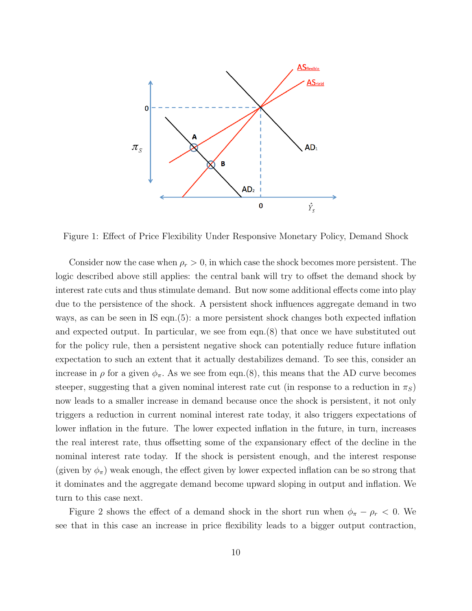

Figure 1: Effect of Price Flexibility Under Responsive Monetary Policy, Demand Shock

Consider now the case when  $\rho_r > 0$ , in which case the shock becomes more persistent. The logic described above still applies: the central bank will try to offset the demand shock by interest rate cuts and thus stimulate demand. But now some additional effects come into play due to the persistence of the shock. A persistent shock influences aggregate demand in two ways, as can be seen in IS eqn.(5): a more persistent shock changes both expected inflation and expected output. In particular, we see from eqn.(8) that once we have substituted out for the policy rule, then a persistent negative shock can potentially reduce future inflation expectation to such an extent that it actually destabilizes demand. To see this, consider an increase in  $\rho$  for a given  $\phi_{\pi}$ . As we see from eqn.(8), this means that the AD curve becomes steeper, suggesting that a given nominal interest rate cut (in response to a reduction in  $\pi<sub>S</sub>$ ) now leads to a smaller increase in demand because once the shock is persistent, it not only triggers a reduction in current nominal interest rate today, it also triggers expectations of lower inflation in the future. The lower expected inflation in the future, in turn, increases the real interest rate, thus offsetting some of the expansionary effect of the decline in the nominal interest rate today. If the shock is persistent enough, and the interest response (given by  $\phi_{\pi}$ ) weak enough, the effect given by lower expected inflation can be so strong that it dominates and the aggregate demand become upward sloping in output and inflation. We turn to this case next.

Figure 2 shows the effect of a demand shock in the short run when  $\phi_{\pi} - \rho_r < 0$ . We see that in this case an increase in price flexibility leads to a bigger output contraction,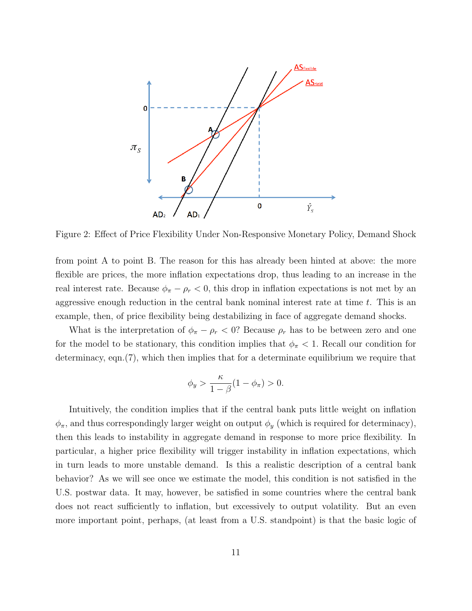

Figure 2: Effect of Price Flexibility Under Non-Responsive Monetary Policy, Demand Shock

from point A to point B. The reason for this has already been hinted at above: the more flexible are prices, the more inflation expectations drop, thus leading to an increase in the real interest rate. Because  $\phi_{\pi} - \rho_r < 0$ , this drop in inflation expectations is not met by an aggressive enough reduction in the central bank nominal interest rate at time  $t$ . This is an example, then, of price flexibility being destabilizing in face of aggregate demand shocks.

What is the interpretation of  $\phi_{\pi} - \rho_r < 0$ ? Because  $\rho_r$  has to be between zero and one for the model to be stationary, this condition implies that  $\phi_{\pi}$  < 1. Recall our condition for determinacy, eqn.(7), which then implies that for a determinate equilibrium we require that

$$
\phi_y > \frac{\kappa}{1-\beta}(1-\phi_\pi) > 0.
$$

Intuitively, the condition implies that if the central bank puts little weight on inflation  $\phi_{\pi}$ , and thus correspondingly larger weight on output  $\phi_y$  (which is required for determinacy), then this leads to instability in aggregate demand in response to more price flexibility. In particular, a higher price flexibility will trigger instability in inflation expectations, which in turn leads to more unstable demand. Is this a realistic description of a central bank behavior? As we will see once we estimate the model, this condition is not satisfied in the U.S. postwar data. It may, however, be satisfied in some countries where the central bank does not react sufficiently to inflation, but excessively to output volatility. But an even more important point, perhaps, (at least from a U.S. standpoint) is that the basic logic of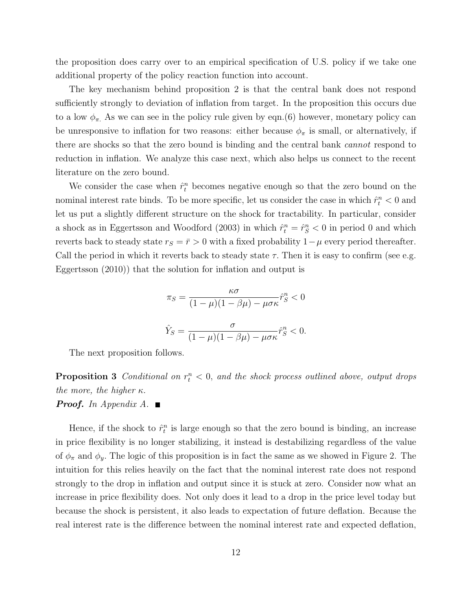the proposition does carry over to an empirical specification of U.S. policy if we take one additional property of the policy reaction function into account.

The key mechanism behind proposition 2 is that the central bank does not respond sufficiently strongly to deviation of inflation from target. In the proposition this occurs due to a low  $\phi_{\pi}$ . As we can see in the policy rule given by eqn.(6) however, monetary policy can be unresponsive to inflation for two reasons: either because  $\phi_{\pi}$  is small, or alternatively, if there are shocks so that the zero bound is binding and the central bank cannot respond to reduction in inflation. We analyze this case next, which also helps us connect to the recent literature on the zero bound.

We consider the case when  $\hat{r}_t^n$  becomes negative enough so that the zero bound on the nominal interest rate binds. To be more specific, let us consider the case in which  $\hat{r}_t^n < 0$  and let us put a slightly different structure on the shock for tractability. In particular, consider a shock as in Eggertsson and Woodford (2003) in which  $\hat{r}_t^n = \hat{r}_S^n < 0$  in period 0 and which reverts back to steady state  $r_S = \bar{r} > 0$  with a fixed probability  $1 - \mu$  every period thereafter. Call the period in which it reverts back to steady state  $\tau$ . Then it is easy to confirm (see e.g. Eggertsson (2010)) that the solution for inflation and output is

$$
\pi_S = \frac{\kappa \sigma}{(1 - \mu)(1 - \beta \mu) - \mu \sigma \kappa} \hat{r}_S^n < 0
$$
\n
$$
\hat{Y}_S = \frac{\sigma}{(1 - \mu)(1 - \beta \mu) - \mu \sigma \kappa} \hat{r}_S^n < 0.
$$

The next proposition follows.

**Proposition 3** Conditional on  $r_t^n < 0$ , and the shock process outlined above, output drops the more, the higher  $\kappa$ .

#### **Proof.** In Appendix A.  $\blacksquare$

Hence, if the shock to  $\hat{r}_t^n$  is large enough so that the zero bound is binding, an increase in price flexibility is no longer stabilizing, it instead is destabilizing regardless of the value of  $\phi_{\pi}$  and  $\phi_{y}$ . The logic of this proposition is in fact the same as we showed in Figure 2. The intuition for this relies heavily on the fact that the nominal interest rate does not respond strongly to the drop in inflation and output since it is stuck at zero. Consider now what an increase in price flexibility does. Not only does it lead to a drop in the price level today but because the shock is persistent, it also leads to expectation of future deflation. Because the real interest rate is the difference between the nominal interest rate and expected deflation,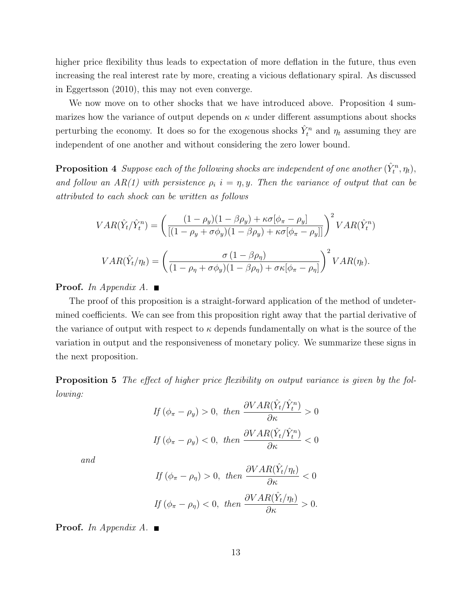higher price flexibility thus leads to expectation of more deflation in the future, thus even increasing the real interest rate by more, creating a vicious deflationary spiral. As discussed in Eggertsson (2010), this may not even converge.

We now move on to other shocks that we have introduced above. Proposition 4 summarizes how the variance of output depends on  $\kappa$  under different assumptions about shocks perturbing the economy. It does so for the exogenous shocks  $\hat{Y}_t^n$  and  $\eta_t$  assuming they are independent of one another and without considering the zero lower bound.

**Proposition 4** Suppose each of the following shocks are independent of one another  $(\hat{Y}_t^n, \eta_t)$ , and follow an AR(1) with persistence  $\rho_i$  i =  $\eta$ , y. Then the variance of output that can be attributed to each shock can be written as follows

$$
VAR(\hat{Y}_t / \hat{Y}_t^n) = \left( \frac{(1 - \rho_y)(1 - \beta \rho_y) + \kappa \sigma[\phi_\pi - \rho_y]}{[(1 - \rho_y + \sigma \phi_y)(1 - \beta \rho_y) + \kappa \sigma[\phi_\pi - \rho_y]]} \right)^2 VAR(\hat{Y}_t^n)
$$

$$
VAR(\hat{Y}_t / \eta_t) = \left( \frac{\sigma(1 - \beta \rho_\eta)}{(1 - \rho_\eta + \sigma \phi_y)(1 - \beta \rho_\eta) + \sigma \kappa[\phi_\pi - \rho_\eta]} \right)^2 VAR(\eta_t).
$$

**Proof.** In Appendix A.  $\blacksquare$ 

The proof of this proposition is a straight-forward application of the method of undetermined coefficients. We can see from this proposition right away that the partial derivative of the variance of output with respect to  $\kappa$  depends fundamentally on what is the source of the variation in output and the responsiveness of monetary policy. We summarize these signs in the next proposition.

Proposition 5 The effect of higher price flexibility on output variance is given by the following:

$$
If \ (\phi_{\pi} - \rho_y) > 0, \ then \ \frac{\partial VAR(\hat{Y}_t / \hat{Y}_t^n)}{\partial \kappa} > 0
$$
\n
$$
If \ (\phi_{\pi} - \rho_y) < 0, \ then \ \frac{\partial VAR(\hat{Y}_t / \hat{Y}_t^n)}{\partial \kappa} < 0
$$

and

$$
If \ (\phi_{\pi} - \rho_{\eta}) > 0, \ then \ \frac{\partial VAR(\hat{Y}_t/\eta_t)}{\partial \kappa} < 0
$$
\n
$$
If \ (\phi_{\pi} - \rho_{\eta}) < 0, \ then \ \frac{\partial VAR(\hat{Y}_t/\eta_t)}{\partial \kappa} > 0.
$$

**Proof.** In Appendix A.  $\blacksquare$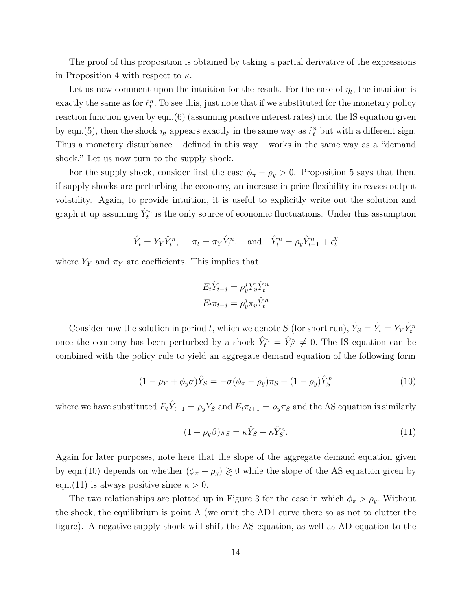The proof of this proposition is obtained by taking a partial derivative of the expressions in Proposition 4 with respect to  $\kappa$ .

Let us now comment upon the intuition for the result. For the case of  $\eta_t$ , the intuition is exactly the same as for  $\hat{r}_t^n$ . To see this, just note that if we substituted for the monetary policy reaction function given by eqn.(6) (assuming positive interest rates) into the IS equation given by eqn.(5), then the shock  $\eta_t$  appears exactly in the same way as  $\hat{r}_t^n$  but with a different sign. Thus a monetary disturbance – defined in this way – works in the same way as a "demand shock." Let us now turn to the supply shock.

For the supply shock, consider first the case  $\phi_{\pi} - \rho_y > 0$ . Proposition 5 says that then, if supply shocks are perturbing the economy, an increase in price flexibility increases output volatility. Again, to provide intuition, it is useful to explicitly write out the solution and graph it up assuming  $\hat{Y}_t^n$  is the only source of economic fluctuations. Under this assumption

$$
\hat{Y}_t = Y_Y \hat{Y}_t^n
$$
,  $\pi_t = \pi_Y \hat{Y}_t^n$ , and  $\hat{Y}_t^n = \rho_y \hat{Y}_{t-1}^n + \epsilon_t^y$ 

where  $Y_Y$  and  $\pi_Y$  are coefficients. This implies that

$$
E_t \hat{Y}_{t+j} = \rho_y^j Y_y \hat{Y}_t^n
$$

$$
E_t \pi_{t+j} = \rho_y^j \pi_y \hat{Y}_t^n
$$

Consider now the solution in period t, which we denote S (for short run),  $\hat{Y}_S = \hat{Y}_t = Y_Y \hat{Y}_t^n$ once the economy has been perturbed by a shock  $\hat{Y}_t^n = \hat{Y}_s^n \neq 0$ . The IS equation can be combined with the policy rule to yield an aggregate demand equation of the following form

$$
(1 - \rho_Y + \phi_y \sigma) \hat{Y}_S = -\sigma (\phi_\pi - \rho_y) \pi_S + (1 - \rho_y) \hat{Y}_S^n \tag{10}
$$

where we have substituted  $E_t\hat{Y}_{t+1} = \rho_y Y_S$  and  $E_t\pi_{t+1} = \rho_y \pi_S$  and the AS equation is similarly

$$
(1 - \rho_y \beta)\pi_S = \kappa \hat{Y}_S - \kappa \hat{Y}_S^n.
$$
\n(11)

Again for later purposes, note here that the slope of the aggregate demand equation given by eqn.(10) depends on whether  $(\phi_{\pi} - \rho_y) \ge 0$  while the slope of the AS equation given by eqn.(11) is always positive since  $\kappa > 0$ .

The two relationships are plotted up in Figure 3 for the case in which  $\phi_{\pi} > \rho_y$ . Without the shock, the equilibrium is point A (we omit the AD1 curve there so as not to clutter the figure). A negative supply shock will shift the AS equation, as well as AD equation to the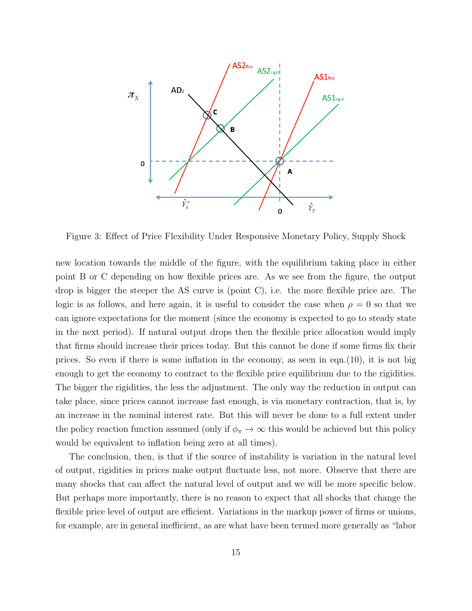

Figure 3: Effect of Price Flexibility Under Responsive Monetary Policy, Supply Shock

new location towards the middle of the figure, with the equilibrium taking place in either point B or C depending on how flexible prices are. As we see from the figure, the output drop is bigger the steeper the AS curve is (point C), i.e. the more flexible price are. The logic is as follows, and here again, it is useful to consider the case when  $\rho = 0$  so that we can ignore expectations for the moment (since the economy is expected to go to steady state in the next period). If natural output drops then the flexible price allocation would imply that firms should increase their prices today. But this cannot be done if some firms fix their prices. So even if there is some inflation in the economy, as seen in eqn.(10), it is not big enough to get the economy to contract to the flexible price equilibrium due to the rigidities. The bigger the rigidities, the less the adjustment. The only way the reduction in output can take place, since prices cannot increase fast enough, is via monetary contraction, that is, by an increase in the nominal interest rate. But this will never be done to a full extent under the policy reaction function assumed (only if  $\phi_{\pi} \to \infty$  this would be achieved but this policy would be equivalent to inflation being zero at all times).

The conclusion, then, is that if the source of instability is variation in the natural level of output, rigidities in prices make output fluctuate less, not more. Observe that there are many shocks that can affect the natural level of output and we will be more specific below. But perhaps more importantly, there is no reason to expect that all shocks that change the flexible price level of output are efficient. Variations in the markup power of firms or unions, for example, are in general inefficient, as are what have been termed more generally as "labor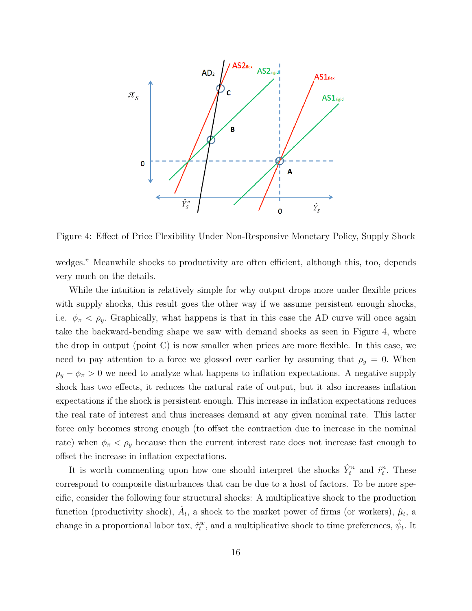

Figure 4: Effect of Price Flexibility Under Non-Responsive Monetary Policy, Supply Shock

wedges." Meanwhile shocks to productivity are often efficient, although this, too, depends very much on the details.

While the intuition is relatively simple for why output drops more under flexible prices with supply shocks, this result goes the other way if we assume persistent enough shocks, i.e.  $\phi_{\pi} < \rho_{y}$ . Graphically, what happens is that in this case the AD curve will once again take the backward-bending shape we saw with demand shocks as seen in Figure 4, where the drop in output (point C) is now smaller when prices are more flexible. In this case, we need to pay attention to a force we glossed over earlier by assuming that  $\rho_y = 0$ . When  $\rho_y - \phi_{\pi} > 0$  we need to analyze what happens to inflation expectations. A negative supply shock has two effects, it reduces the natural rate of output, but it also increases inflation expectations if the shock is persistent enough. This increase in inflation expectations reduces the real rate of interest and thus increases demand at any given nominal rate. This latter force only becomes strong enough (to offset the contraction due to increase in the nominal rate) when  $\phi_{\pi} < \rho_y$  because then the current interest rate does not increase fast enough to offset the increase in inflation expectations.

It is worth commenting upon how one should interpret the shocks  $\hat{Y}_t^n$  and  $\hat{r}_t^n$ . These correspond to composite disturbances that can be due to a host of factors. To be more specific, consider the following four structural shocks: A multiplicative shock to the production function (productivity shock),  $\hat{A}_t$ , a shock to the market power of firms (or workers),  $\hat{\mu}_t$ , a change in a proportional labor tax,  $\hat{\tau}_t^w$ , and a multiplicative shock to time preferences,  $\hat{\psi}_t$ . It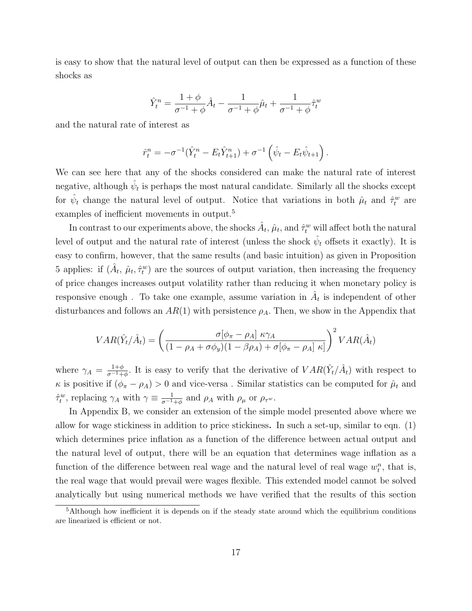is easy to show that the natural level of output can then be expressed as a function of these shocks as

$$
\hat{Y}_t^n = \frac{1+\phi}{\sigma^{-1}+\phi}\hat{A}_t - \frac{1}{\sigma^{-1}+\phi}\hat{\mu}_t + \frac{1}{\sigma^{-1}+\phi}\hat{\tau}_t^w
$$

and the natural rate of interest as

$$
\hat{r}_t^n = -\sigma^{-1}(\hat{Y}_t^n - E_t \hat{Y}_{t+1}^n) + \sigma^{-1}(\hat{\psi}_t - E_t \hat{\psi}_{t+1}).
$$

We can see here that any of the shocks considered can make the natural rate of interest negative, although  $\hat{\psi}_t$  is perhaps the most natural candidate. Similarly all the shocks except for  $\hat{\psi}_t$  change the natural level of output. Notice that variations in both  $\hat{\mu}_t$  and  $\hat{\tau}_t^w$  are examples of inefficient movements in output.<sup>5</sup>

In contrast to our experiments above, the shocks  $\hat{A}_t$ ,  $\hat{\mu}_t$ , and  $\hat{\tau}_t^w$  will affect both the natural level of output and the natural rate of interest (unless the shock  $\hat{\psi}_t$  offsets it exactly). It is easy to confirm, however, that the same results (and basic intuition) as given in Proposition 5 applies: if  $(\hat{A}_t, \hat{\mu}_t, \hat{\tau}_t^w)$  are the sources of output variation, then increasing the frequency of price changes increases output volatility rather than reducing it when monetary policy is responsive enough. To take one example, assume variation in  $A_t$  is independent of other disturbances and follows an  $AR(1)$  with persistence  $\rho_A$ . Then, we show in the Appendix that

$$
VAR(\hat{Y}_t/\hat{A}_t) = \left(\frac{\sigma[\phi_{\pi} - \rho_A] \kappa \gamma_A}{(1 - \rho_A + \sigma \phi_y)(1 - \beta \rho_A) + \sigma[\phi_{\pi} - \rho_A] \kappa]}\right)^2 VAR(\hat{A}_t)
$$

where  $\gamma_A = \frac{1+\phi}{\sigma^{-1}+}$  $\frac{1+\phi}{\sigma^{-1}+\phi}$ . It is easy to verify that the derivative of  $VAR(\hat{Y}_t/\hat{A}_t)$  with respect to  $\kappa$  is positive if  $(\phi_{\pi} - \rho_A) > 0$  and vice-versa. Similar statistics can be computed for  $\hat{\mu}_t$  and  $\hat{\tau}_t^w$ , replacing  $\gamma_A$  with  $\gamma \equiv \frac{1}{\sigma^{-1}}$  $\frac{1}{\sigma^{-1}+\phi}$  and  $\rho_A$  with  $\rho_\mu$  or  $\rho_{\tau^w}$ .

In Appendix B, we consider an extension of the simple model presented above where we allow for wage stickiness in addition to price stickiness. In such a set-up, similar to eqn. (1) which determines price inflation as a function of the difference between actual output and the natural level of output, there will be an equation that determines wage inflation as a function of the difference between real wage and the natural level of real wage  $w_t^n$ , that is, the real wage that would prevail were wages flexible. This extended model cannot be solved analytically but using numerical methods we have verified that the results of this section

 $5$ Although how inefficient it is depends on if the steady state around which the equilibrium conditions are linearized is efficient or not.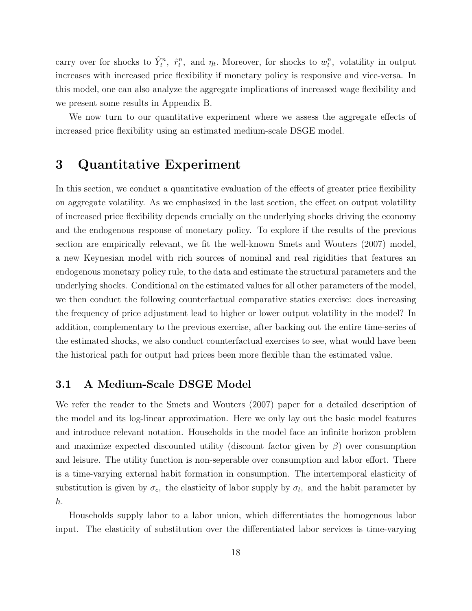carry over for shocks to  $\hat{Y}_t^n$ ,  $\hat{r}_t^n$ , and  $\eta_t$ . Moreover, for shocks to  $w_t^n$ , volatility in output increases with increased price flexibility if monetary policy is responsive and vice-versa. In this model, one can also analyze the aggregate implications of increased wage flexibility and we present some results in Appendix B.

We now turn to our quantitative experiment where we assess the aggregate effects of increased price flexibility using an estimated medium-scale DSGE model.

# 3 Quantitative Experiment

In this section, we conduct a quantitative evaluation of the effects of greater price flexibility on aggregate volatility. As we emphasized in the last section, the effect on output volatility of increased price flexibility depends crucially on the underlying shocks driving the economy and the endogenous response of monetary policy. To explore if the results of the previous section are empirically relevant, we fit the well-known Smets and Wouters (2007) model, a new Keynesian model with rich sources of nominal and real rigidities that features an endogenous monetary policy rule, to the data and estimate the structural parameters and the underlying shocks. Conditional on the estimated values for all other parameters of the model, we then conduct the following counterfactual comparative statics exercise: does increasing the frequency of price adjustment lead to higher or lower output volatility in the model? In addition, complementary to the previous exercise, after backing out the entire time-series of the estimated shocks, we also conduct counterfactual exercises to see, what would have been the historical path for output had prices been more flexible than the estimated value.

### 3.1 A Medium-Scale DSGE Model

We refer the reader to the Smets and Wouters (2007) paper for a detailed description of the model and its log-linear approximation. Here we only lay out the basic model features and introduce relevant notation. Households in the model face an infinite horizon problem and maximize expected discounted utility (discount factor given by  $\beta$ ) over consumption and leisure. The utility function is non-seperable over consumption and labor effort. There is a time-varying external habit formation in consumption. The intertemporal elasticity of substitution is given by  $\sigma_c$ , the elasticity of labor supply by  $\sigma_l$ , and the habit parameter by h.

Households supply labor to a labor union, which differentiates the homogenous labor input. The elasticity of substitution over the differentiated labor services is time-varying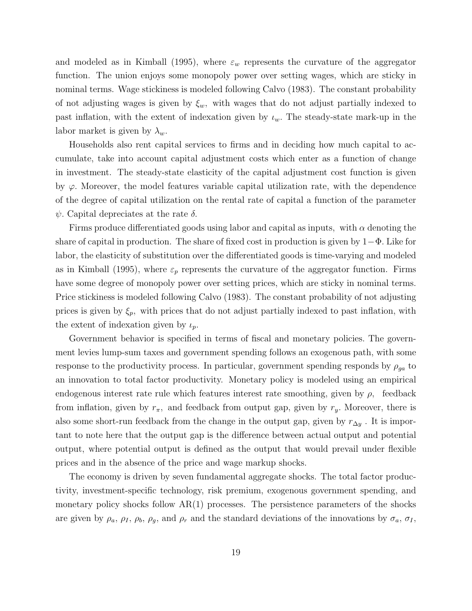and modeled as in Kimball (1995), where  $\varepsilon_w$  represents the curvature of the aggregator function. The union enjoys some monopoly power over setting wages, which are sticky in nominal terms. Wage stickiness is modeled following Calvo (1983). The constant probability of not adjusting wages is given by  $\xi_w$ , with wages that do not adjust partially indexed to past inflation, with the extent of indexation given by  $\iota_w$ . The steady-state mark-up in the labor market is given by  $\lambda_w$ .

Households also rent capital services to firms and in deciding how much capital to accumulate, take into account capital adjustment costs which enter as a function of change in investment. The steady-state elasticity of the capital adjustment cost function is given by  $\varphi$ . Moreover, the model features variable capital utilization rate, with the dependence of the degree of capital utilization on the rental rate of capital a function of the parameter  $\psi$ . Capital depreciates at the rate  $\delta$ .

Firms produce differentiated goods using labor and capital as inputs, with  $\alpha$  denoting the share of capital in production. The share of fixed cost in production is given by  $1-\Phi$ . Like for labor, the elasticity of substitution over the differentiated goods is time-varying and modeled as in Kimball (1995), where  $\varepsilon_p$  represents the curvature of the aggregator function. Firms have some degree of monopoly power over setting prices, which are sticky in nominal terms. Price stickiness is modeled following Calvo (1983). The constant probability of not adjusting prices is given by  $\xi_p$ , with prices that do not adjust partially indexed to past inflation, with the extent of indexation given by  $\iota_p$ .

Government behavior is specified in terms of fiscal and monetary policies. The government levies lump-sum taxes and government spending follows an exogenous path, with some response to the productivity process. In particular, government spending responds by  $\rho_{ga}$  to an innovation to total factor productivity. Monetary policy is modeled using an empirical endogenous interest rate rule which features interest rate smoothing, given by  $\rho$ , feedback from inflation, given by  $r_{\pi}$ , and feedback from output gap, given by  $r_y$ . Moreover, there is also some short-run feedback from the change in the output gap, given by  $r_{\Delta y}$ . It is important to note here that the output gap is the difference between actual output and potential output, where potential output is defined as the output that would prevail under flexible prices and in the absence of the price and wage markup shocks.

The economy is driven by seven fundamental aggregate shocks. The total factor productivity, investment-specific technology, risk premium, exogenous government spending, and monetary policy shocks follow  $AR(1)$  processes. The persistence parameters of the shocks are given by  $\rho_a$ ,  $\rho_I$ ,  $\rho_b$ ,  $\rho_g$ , and  $\rho_r$  and the standard deviations of the innovations by  $\sigma_a$ ,  $\sigma_I$ ,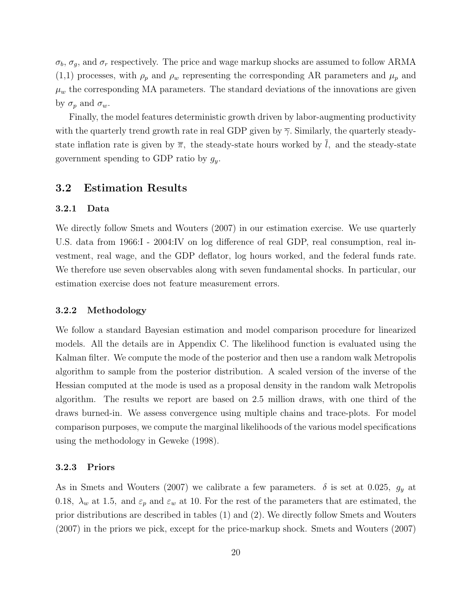$\sigma_b$ ,  $\sigma_g$ , and  $\sigma_r$  respectively. The price and wage markup shocks are assumed to follow ARMA  $(1,1)$  processes, with  $\rho_p$  and  $\rho_w$  representing the corresponding AR parameters and  $\mu_p$  and  $\mu_w$  the corresponding MA parameters. The standard deviations of the innovations are given by  $\sigma_p$  and  $\sigma_w$ .

Finally, the model features deterministic growth driven by labor-augmenting productivity with the quarterly trend growth rate in real GDP given by  $\overline{\gamma}$ . Similarly, the quarterly steadystate inflation rate is given by  $\overline{\pi}$ , the steady-state hours worked by l, and the steady-state government spending to GDP ratio by  $g_y$ .

### 3.2 Estimation Results

#### 3.2.1 Data

We directly follow Smets and Wouters (2007) in our estimation exercise. We use quarterly U.S. data from 1966:I - 2004:IV on log difference of real GDP, real consumption, real investment, real wage, and the GDP deflator, log hours worked, and the federal funds rate. We therefore use seven observables along with seven fundamental shocks. In particular, our estimation exercise does not feature measurement errors.

#### 3.2.2 Methodology

We follow a standard Bayesian estimation and model comparison procedure for linearized models. All the details are in Appendix C. The likelihood function is evaluated using the Kalman filter. We compute the mode of the posterior and then use a random walk Metropolis algorithm to sample from the posterior distribution. A scaled version of the inverse of the Hessian computed at the mode is used as a proposal density in the random walk Metropolis algorithm. The results we report are based on 2.5 million draws, with one third of the draws burned-in. We assess convergence using multiple chains and trace-plots. For model comparison purposes, we compute the marginal likelihoods of the various model specifications using the methodology in Geweke (1998).

#### 3.2.3 Priors

As in Smets and Wouters (2007) we calibrate a few parameters.  $\delta$  is set at 0.025,  $g_y$  at 0.18,  $\lambda_w$  at 1.5, and  $\varepsilon_p$  and  $\varepsilon_w$  at 10. For the rest of the parameters that are estimated, the prior distributions are described in tables (1) and (2). We directly follow Smets and Wouters (2007) in the priors we pick, except for the price-markup shock. Smets and Wouters (2007)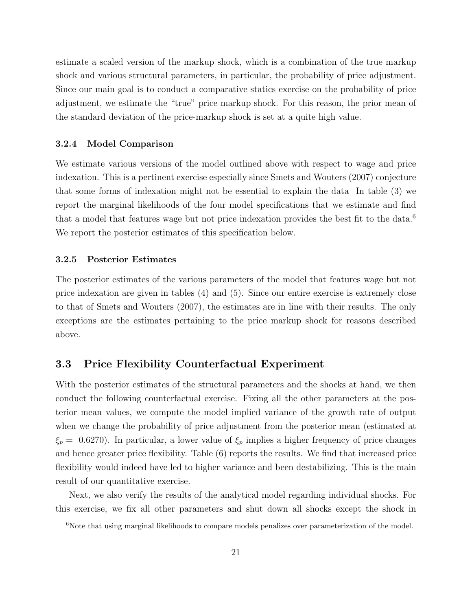estimate a scaled version of the markup shock, which is a combination of the true markup shock and various structural parameters, in particular, the probability of price adjustment. Since our main goal is to conduct a comparative statics exercise on the probability of price adjustment, we estimate the "true" price markup shock. For this reason, the prior mean of the standard deviation of the price-markup shock is set at a quite high value.

#### 3.2.4 Model Comparison

We estimate various versions of the model outlined above with respect to wage and price indexation. This is a pertinent exercise especially since Smets and Wouters (2007) conjecture that some forms of indexation might not be essential to explain the data In table (3) we report the marginal likelihoods of the four model specifications that we estimate and find that a model that features wage but not price indexation provides the best fit to the data.<sup>6</sup> We report the posterior estimates of this specification below.

#### 3.2.5 Posterior Estimates

The posterior estimates of the various parameters of the model that features wage but not price indexation are given in tables (4) and (5). Since our entire exercise is extremely close to that of Smets and Wouters (2007), the estimates are in line with their results. The only exceptions are the estimates pertaining to the price markup shock for reasons described above.

### 3.3 Price Flexibility Counterfactual Experiment

With the posterior estimates of the structural parameters and the shocks at hand, we then conduct the following counterfactual exercise. Fixing all the other parameters at the posterior mean values, we compute the model implied variance of the growth rate of output when we change the probability of price adjustment from the posterior mean (estimated at  $\xi_p = 0.6270$ . In particular, a lower value of  $\xi_p$  implies a higher frequency of price changes and hence greater price flexibility. Table (6) reports the results. We find that increased price flexibility would indeed have led to higher variance and been destabilizing. This is the main result of our quantitative exercise.

Next, we also verify the results of the analytical model regarding individual shocks. For this exercise, we fix all other parameters and shut down all shocks except the shock in

<sup>&</sup>lt;sup>6</sup>Note that using marginal likelihoods to compare models penalizes over parameterization of the model.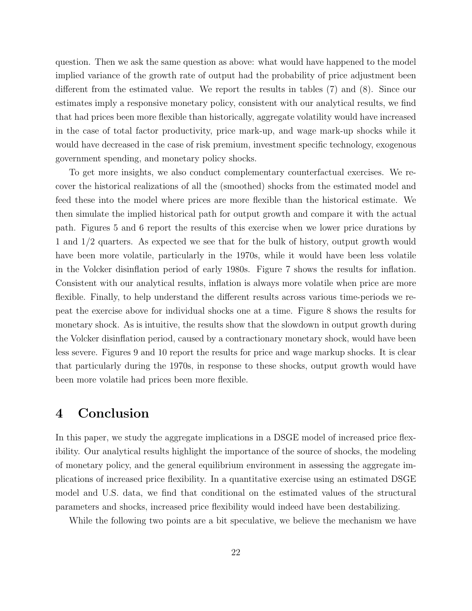question. Then we ask the same question as above: what would have happened to the model implied variance of the growth rate of output had the probability of price adjustment been different from the estimated value. We report the results in tables (7) and (8). Since our estimates imply a responsive monetary policy, consistent with our analytical results, we find that had prices been more flexible than historically, aggregate volatility would have increased in the case of total factor productivity, price mark-up, and wage mark-up shocks while it would have decreased in the case of risk premium, investment specific technology, exogenous government spending, and monetary policy shocks.

To get more insights, we also conduct complementary counterfactual exercises. We recover the historical realizations of all the (smoothed) shocks from the estimated model and feed these into the model where prices are more flexible than the historical estimate. We then simulate the implied historical path for output growth and compare it with the actual path. Figures 5 and 6 report the results of this exercise when we lower price durations by 1 and 1/2 quarters. As expected we see that for the bulk of history, output growth would have been more volatile, particularly in the 1970s, while it would have been less volatile in the Volcker disinflation period of early 1980s. Figure 7 shows the results for inflation. Consistent with our analytical results, inflation is always more volatile when price are more flexible. Finally, to help understand the different results across various time-periods we repeat the exercise above for individual shocks one at a time. Figure 8 shows the results for monetary shock. As is intuitive, the results show that the slowdown in output growth during the Volcker disinflation period, caused by a contractionary monetary shock, would have been less severe. Figures 9 and 10 report the results for price and wage markup shocks. It is clear that particularly during the 1970s, in response to these shocks, output growth would have been more volatile had prices been more flexible.

# 4 Conclusion

In this paper, we study the aggregate implications in a DSGE model of increased price flexibility. Our analytical results highlight the importance of the source of shocks, the modeling of monetary policy, and the general equilibrium environment in assessing the aggregate implications of increased price flexibility. In a quantitative exercise using an estimated DSGE model and U.S. data, we find that conditional on the estimated values of the structural parameters and shocks, increased price flexibility would indeed have been destabilizing.

While the following two points are a bit speculative, we believe the mechanism we have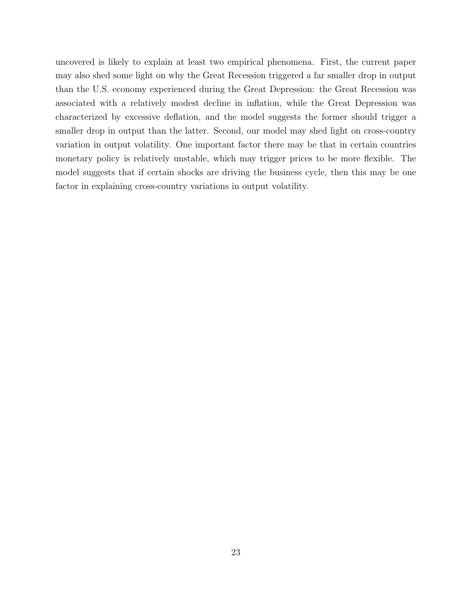uncovered is likely to explain at least two empirical phenomena. First, the current paper may also shed some light on why the Great Recession triggered a far smaller drop in output than the U.S. economy experienced during the Great Depression: the Great Recession was associated with a relatively modest decline in inflation, while the Great Depression was characterized by excessive deflation, and the model suggests the former should trigger a smaller drop in output than the latter. Second, our model may shed light on cross-country variation in output volatility. One important factor there may be that in certain countries monetary policy is relatively unstable, which may trigger prices to be more flexible. The model suggests that if certain shocks are driving the business cycle, then this may be one factor in explaining cross-country variations in output volatility.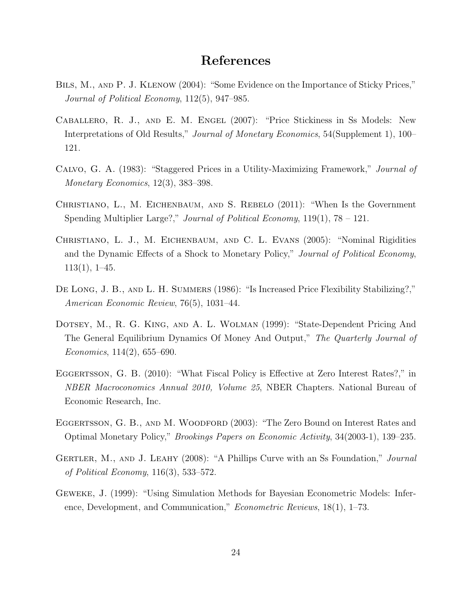# References

- Bils, M., and P. J. Klenow (2004): "Some Evidence on the Importance of Sticky Prices," Journal of Political Economy, 112(5), 947–985.
- Caballero, R. J., and E. M. Engel (2007): "Price Stickiness in Ss Models: New Interpretations of Old Results," *Journal of Monetary Economics*, 54(Supplement 1), 100– 121.
- Calvo, G. A. (1983): "Staggered Prices in a Utility-Maximizing Framework," Journal of Monetary Economics, 12(3), 383–398.
- Christiano, L., M. Eichenbaum, and S. Rebelo (2011): "When Is the Government Spending Multiplier Large?," *Journal of Political Economy*,  $119(1)$ ,  $78 - 121$ .
- Christiano, L. J., M. Eichenbaum, and C. L. Evans (2005): "Nominal Rigidities and the Dynamic Effects of a Shock to Monetary Policy," Journal of Political Economy, 113(1), 1–45.
- DE LONG, J. B., AND L. H. SUMMERS (1986): "Is Increased Price Flexibility Stabilizing?," American Economic Review, 76(5), 1031–44.
- Dotsey, M., R. G. King, and A. L. Wolman (1999): "State-Dependent Pricing And The General Equilibrium Dynamics Of Money And Output," The Quarterly Journal of Economics, 114(2), 655–690.
- EGGERTSSON, G. B. (2010): "What Fiscal Policy is Effective at Zero Interest Rates?," in NBER Macroconomics Annual 2010, Volume 25, NBER Chapters. National Bureau of Economic Research, Inc.
- EGGERTSSON, G. B., AND M. WOODFORD (2003): "The Zero Bound on Interest Rates and Optimal Monetary Policy," Brookings Papers on Economic Activity, 34(2003-1), 139–235.
- GERTLER, M., AND J. LEAHY (2008): "A Phillips Curve with an Ss Foundation," Journal of Political Economy, 116(3), 533–572.
- Geweke, J. (1999): "Using Simulation Methods for Bayesian Econometric Models: Inference, Development, and Communication," Econometric Reviews, 18(1), 1–73.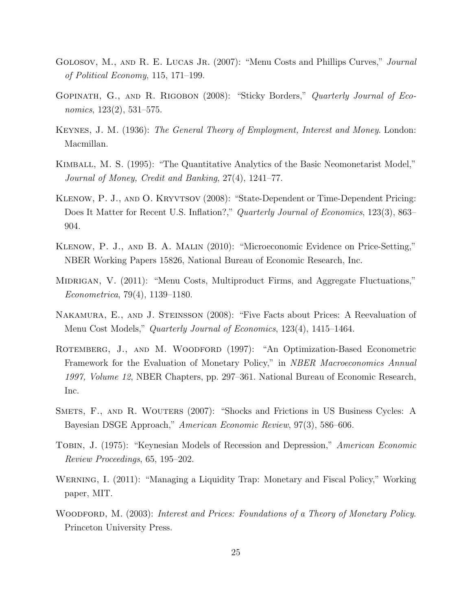- GOLOSOV, M., AND R. E. LUCAS JR. (2007): "Menu Costs and Phillips Curves," *Journal* of Political Economy, 115, 171–199.
- Gopinath, G., and R. Rigobon (2008): "Sticky Borders," Quarterly Journal of Economics, 123(2), 531–575.
- Keynes, J. M. (1936): The General Theory of Employment, Interest and Money. London: Macmillan.
- Kimball, M. S. (1995): "The Quantitative Analytics of the Basic Neomonetarist Model," Journal of Money, Credit and Banking, 27(4), 1241–77.
- Klenow, P. J., and O. Kryvtsov (2008): "State-Dependent or Time-Dependent Pricing: Does It Matter for Recent U.S. Inflation?," Quarterly Journal of Economics, 123(3), 863– 904.
- Klenow, P. J., and B. A. Malin (2010): "Microeconomic Evidence on Price-Setting," NBER Working Papers 15826, National Bureau of Economic Research, Inc.
- MIDRIGAN, V. (2011): "Menu Costs, Multiproduct Firms, and Aggregate Fluctuations," Econometrica, 79(4), 1139–1180.
- Nakamura, E., and J. Steinsson (2008): "Five Facts about Prices: A Reevaluation of Menu Cost Models," *Quarterly Journal of Economics*, 123(4), 1415–1464.
- ROTEMBERG, J., AND M. WOODFORD (1997): "An Optimization-Based Econometric Framework for the Evaluation of Monetary Policy," in *NBER Macroeconomics Annual* 1997, Volume 12, NBER Chapters, pp. 297–361. National Bureau of Economic Research, Inc.
- Smets, F., and R. Wouters (2007): "Shocks and Frictions in US Business Cycles: A Bayesian DSGE Approach," American Economic Review, 97(3), 586–606.
- Tobin, J. (1975): "Keynesian Models of Recession and Depression," American Economic Review Proceedings, 65, 195–202.
- Werning, I. (2011): "Managing a Liquidity Trap: Monetary and Fiscal Policy," Working paper, MIT.
- WOODFORD, M. (2003): Interest and Prices: Foundations of a Theory of Monetary Policy. Princeton University Press.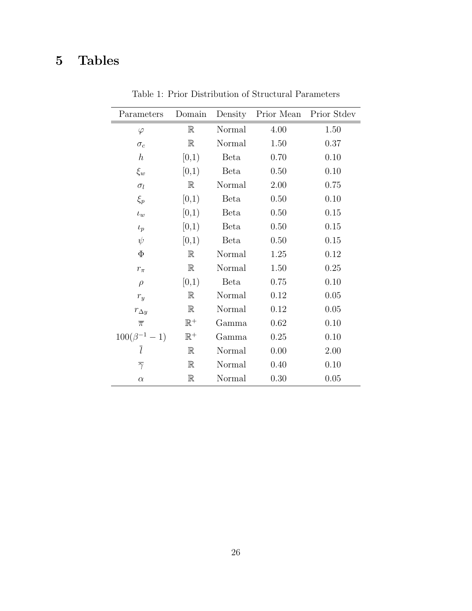# 5 Tables

| Parameters            | Domain         | Density     | Prior Mean | Prior Stdev |
|-----------------------|----------------|-------------|------------|-------------|
| $\varphi$             | $\mathbb{R}$   | Normal      | 4.00       | 1.50        |
| $\sigma_c$            | $\mathbb R$    | Normal      | 1.50       | 0.37        |
| $\boldsymbol{h}$      | [0,1)          | Beta        | 0.70       | 0.10        |
| $\xi_w$               | [0,1)          | Beta        | 0.50       | 0.10        |
| $\sigma_l$            | $\mathbb R$    | Normal      | 2.00       | 0.75        |
| $\xi_p$               | [0,1)          | <b>Beta</b> | 0.50       | 0.10        |
| $\iota_w$             | [0,1)          | Beta        | 0.50       | 0.15        |
| $\iota_p$             | [0,1)          | Beta        | 0.50       | 0.15        |
| $\psi$                | [0,1)          | <b>Beta</b> | 0.50       | 0.15        |
| $\Phi$                | $\mathbb{R}$   | Normal      | 1.25       | 0.12        |
| $r_{\pi}$             | $\mathbb{R}$   | Normal      | 1.50       | 0.25        |
| $\rho$                | [0,1)          | <b>Beta</b> | 0.75       | 0.10        |
| $r_{y}$               | $\mathbb R$    | Normal      | 0.12       | 0.05        |
| $r_{\Delta y}$        | $\mathbb R$    | Normal      | 0.12       | 0.05        |
| $\overline{\pi}$      | $\mathbb{R}^+$ | Gamma       | 0.62       | 0.10        |
| $100(\beta^{-1} - 1)$ | $\mathbb{R}^+$ | Gamma       | 0.25       | 0.10        |
| ī                     | $\mathbb{R}$   | Normal      | 0.00       | 2.00        |
| $\overline{\gamma}$   | $\mathbb R$    | Normal      | 0.40       | 0.10        |
| $\alpha$              | $\mathbb R$    | Normal      | 0.30       | 0.05        |

Table 1: Prior Distribution of Structural Parameters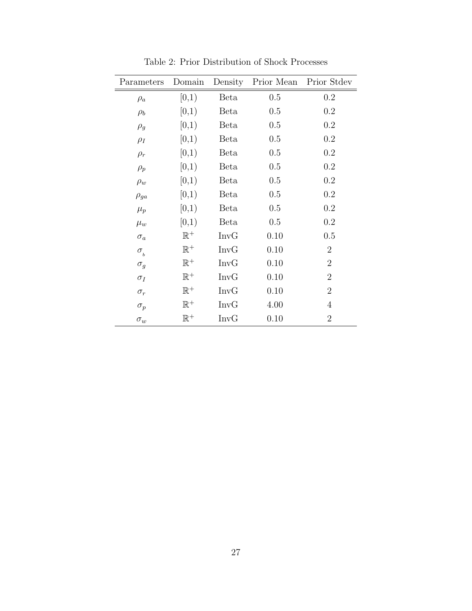| Parameters    | Domain         | Density     | Prior Mean | Prior Stdev      |
|---------------|----------------|-------------|------------|------------------|
| $\rho_a$      | [0,1)          | Beta        | 0.5        | 0.2              |
| $\rho_b$      | [0,1)          | Beta        | 0.5        | 0.2              |
| $\rho_g$      | [0,1)          | Beta        | 0.5        | 0.2              |
| $\rho_I$      | [0,1)          | Beta        | 0.5        | 0.2              |
| $\rho_r$      | [0,1)          | Beta        | 0.5        | 0.2              |
| $\rho_p$      | [0,1)          | Beta        | 0.5        | 0.2              |
| $\rho_w$      | [0,1)          | Beta        | 0.5        | 0.2              |
| $\rho_{ga}$   | [0,1)          | Beta        | 0.5        | 0.2              |
| $\mu_p$       | [0,1)          | Beta        | 0.5        | $\rm 0.2$        |
| $\mu_w$       | [0,1)          | Beta        | 0.5        | 0.2              |
| $\sigma_a$    | $\mathbb{R}^+$ | <b>InvG</b> | 0.10       | 0.5              |
| $\sigma_{_b}$ | $\mathbb{R}^+$ | <b>InvG</b> | 0.10       | $\overline{2}$   |
| $\sigma_g$    | $\mathbb{R}^+$ | <b>InvG</b> | 0.10       | $\boldsymbol{2}$ |
| $\sigma_I$    | $\mathbb{R}^+$ | <b>InvG</b> | 0.10       | $\overline{2}$   |
| $\sigma_r$    | $\mathbb{R}^+$ | <b>InvG</b> | 0.10       | $\overline{2}$   |
| $\sigma_p$    | $\mathbb{R}^+$ | <b>InvG</b> | 4.00       | $\overline{4}$   |
| $\sigma_w$    | $\mathbb{R}^+$ | <b>InvG</b> | 0.10       | $\overline{2}$   |

Table 2: Prior Distribution of Shock Processes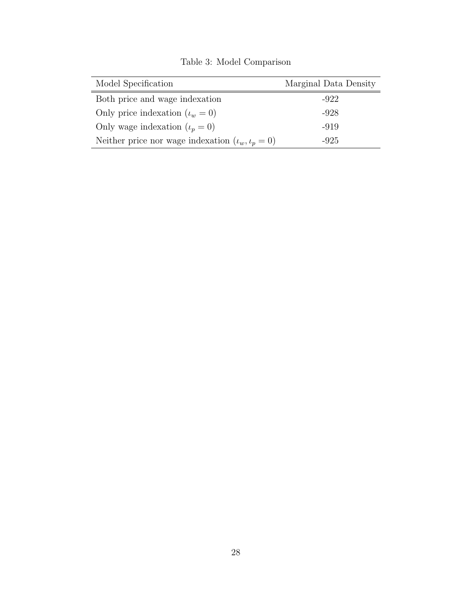| Model Specification                                        | Marginal Data Density |
|------------------------------------------------------------|-----------------------|
| Both price and wage indexation                             | $-922$                |
| Only price indexation $(\iota_w = 0)$                      | $-928$                |
| Only wage indexation $(\iota_p = 0)$                       | -919                  |
| Neither price nor wage indexation $(\iota_w, \iota_p = 0)$ | -925                  |

Table 3: Model Comparison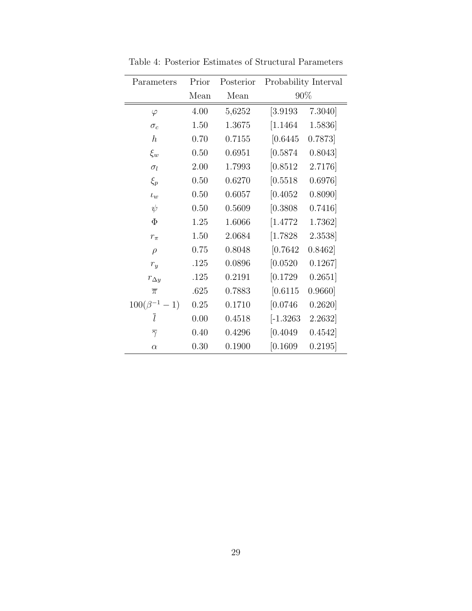| Parameters            | Prior | Posterior | Probability Interval |         |
|-----------------------|-------|-----------|----------------------|---------|
|                       | Mean  | Mean      | 90%                  |         |
| $\varphi$             | 4.00  | 5,6252    | [3.9193]             | 7.3040] |
| $\sigma_c$            | 1.50  | 1.3675    | [1.1464]             | 1.5836  |
| $\hbar$               | 0.70  | 0.7155    | [0.6445]             | 0.7873  |
| $\xi_w$               | 0.50  | 0.6951    | [0.5874]             | 0.8043] |
| $\sigma_l$            | 2.00  | 1.7993    | [0.8512]             | 2.7176  |
| $\xi_p$               | 0.50  | 0.6270    | [0.5518]             | 0.6976  |
| $\iota_w$             | 0.50  | 0.6057    | [0.4052]             | 0.8090] |
| $\psi$                | 0.50  | 0.5609    | [0.3808]             | 0.7416  |
| $\Phi$                | 1.25  | 1.6066    | [1.4772]             | 1.7362  |
| $r_{\pi}$             | 1.50  | 2.0684    | [1.7828]             | 2.3538  |
| $\rho$                | 0.75  | 0.8048    | [0.7642]             | 0.8462] |
| $r_y$                 | .125  | 0.0896    | [0.0520]             | 0.1267  |
| $r_{\Delta y}$        | .125  | 0.2191    | [0.1729]             | 0.2651] |
| $\overline{\pi}$      | .625  | 0.7883    | [0.6115]             | 0.9660] |
| $100(\beta^{-1} - 1)$ | 0.25  | 0.1710    | [0.0746]             | 0.2620] |
| $\bar{l}$             | 0.00  | 0.4518    | $[-1.3263]$          | 2.2632  |
| $\overline{\gamma}$   | 0.40  | 0.4296    | [0.4049]             | 0.4542] |
| $\alpha$              | 0.30  | 0.1900    | [0.1609]             | 0.2195  |

Table 4: Posterior Estimates of Structural Parameters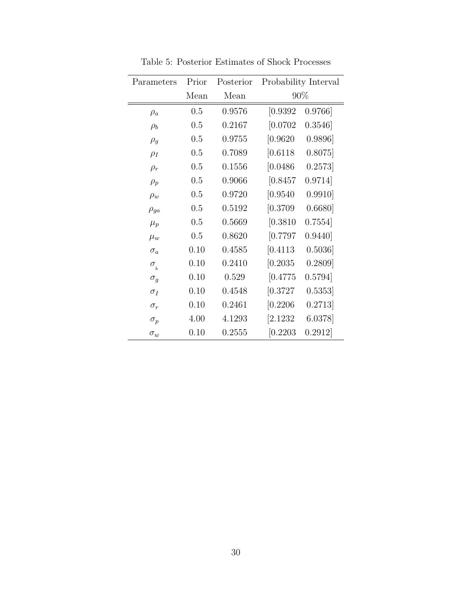| Parameters         | Prior | Posterior |           | Probability Interval |
|--------------------|-------|-----------|-----------|----------------------|
|                    | Mean  | Mean      |           | 90%                  |
| $\rho_a$           | 0.5   | 0.9576    | [0.9392]  | 0.9766               |
| $\rho_b$           | 0.5   | 0.2167    | [0.0702]  | 0.3546               |
| $\rho_g$           | 0.5   | 0.9755    | [0.9620]  | 0.9896               |
| $\rho_I$           | 0.5   | 0.7089    | $[0.6118$ | 0.8075               |
| $\rho_r$           | 0.5   | 0.1556    | [0.0486]  | 0.2573               |
| $\rho_p$           | 0.5   | 0.9066    | [0.8457]  | 0.9714]              |
| $\rho_w$           | 0.5   | 0.9720    | [0.9540]  | 0.9910]              |
| $\rho_{ga}$        | 0.5   | 0.5192    | [0.3709]  | 0.6680               |
| $\mu_p$            | 0.5   | 0.5669    | [0.3810]  | 0.7554]              |
| $\mu_w$            | 0.5   | 0.8620    | [0.7797]  | 0.9440               |
| $\sigma_a$         | 0.10  | 0.4585    | [0.4113]  | 0.5036               |
| $\sigma_{\bar{b}}$ | 0.10  | 0.2410    | [0.2035]  | 0.2809               |
| $\sigma_g$         | 0.10  | 0.529     | [0.4775]  | 0.5794]              |
| $\sigma_I$         | 0.10  | 0.4548    | [0.3727]  | 0.5353               |
| $\sigma_r$         | 0.10  | 0.2461    | [0.2206]  | 0.2713               |
| $\sigma_p$         | 4.00  | 4.1293    | [2.1232]  | 6.0378               |
| $\sigma_{w}$       | 0.10  | 0.2555    | [0.2203]  | 0.2912]              |

Table 5: Posterior Estimates of Shock Processes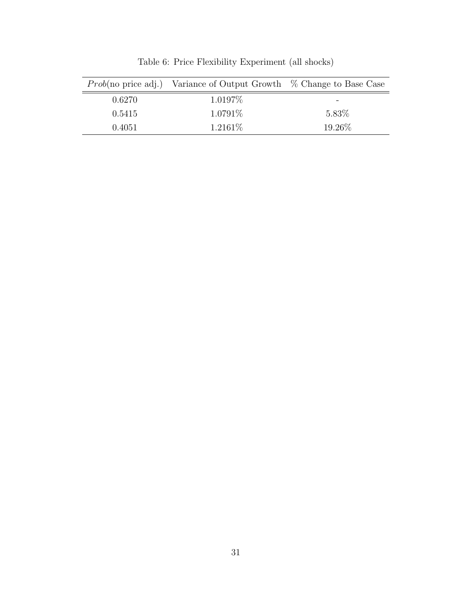|        | <i>Prob</i> (no price adj.) Variance of Output Growth $\%$ Change to Base Case |          |
|--------|--------------------------------------------------------------------------------|----------|
| 0.6270 | $1.0197\%$                                                                     |          |
| 0.5415 | $1.0791\%$                                                                     | $5.83\%$ |
| 0.4051 | $1.2161\%$                                                                     | 19.26\%  |

Table 6: Price Flexibility Experiment (all shocks)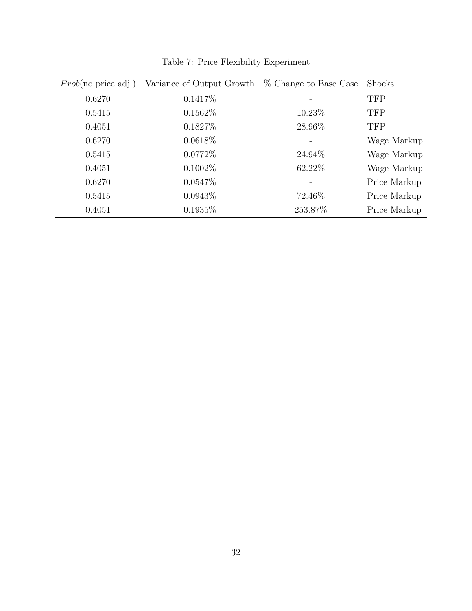| $Prob(no \text{ price } adj.)$ | Variance of Output Growth | % Change to Base Case | <b>Shocks</b> |
|--------------------------------|---------------------------|-----------------------|---------------|
| 0.6270                         | $0.1417\%$                |                       | <b>TFP</b>    |
| 0.5415                         | $0.1562\%$                | 10.23%                | <b>TFP</b>    |
| 0.4051                         | $0.1827\%$                | 28.96%                | <b>TFP</b>    |
| 0.6270                         | $0.0618\%$                |                       | Wage Markup   |
| 0.5415                         | $0.0772\%$                | 24.94\%               | Wage Markup   |
| 0.4051                         | $0.1002\%$                | 62.22\%               | Wage Markup   |
| 0.6270                         | $0.0547\%$                |                       | Price Markup  |
| 0.5415                         | $0.0943\%$                | 72.46\%               | Price Markup  |
| 0.4051                         | $0.1935\%$                | 253.87%               | Price Markup  |

Table 7: Price Flexibility Experiment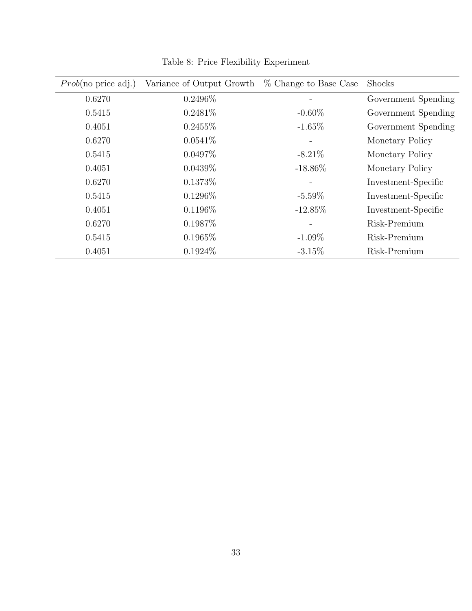| $Prob(no \text{ price } adj.)$ | Variance of Output Growth | % Change to Base Case | Shocks              |
|--------------------------------|---------------------------|-----------------------|---------------------|
| 0.6270                         | $0.2496\%$                |                       | Government Spending |
| 0.5415                         | 0.2481\%                  | $-0.60\%$             | Government Spending |
| 0.4051                         | $0.2455\%$                | $-1.65\%$             | Government Spending |
| 0.6270                         | $0.0541\%$                |                       | Monetary Policy     |
| 0.5415                         | $0.0497\%$                | $-8.21\%$             | Monetary Policy     |
| 0.4051                         | $0.0439\%$                | $-18.86\%$            | Monetary Policy     |
| 0.6270                         | 0.1373%                   |                       | Investment-Specific |
| 0.5415                         | $0.1296\%$                | $-5.59\%$             | Investment-Specific |
| 0.4051                         | 0.1196\%                  | $-12.85\%$            | Investment-Specific |
| 0.6270                         | 0.1987\%                  |                       | Risk-Premium        |
| 0.5415                         | 0.1965\%                  | $-1.09\%$             | Risk-Premium        |
| 0.4051                         | $0.1924\%$                | $-3.15\%$             | Risk-Premium        |

Table 8: Price Flexibility Experiment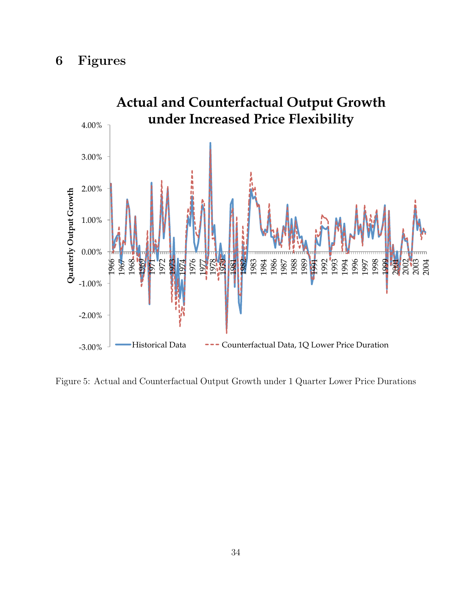

Figure 5: Actual and Counterfactual Output Growth under 1 Quarter Lower Price Durations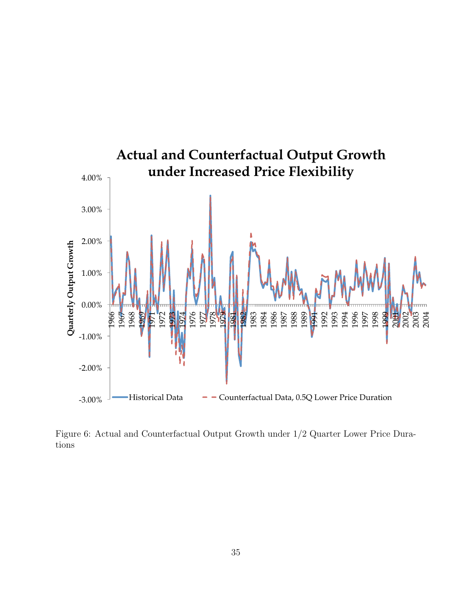

Figure 6: Actual and Counterfactual Output Growth under 1/2 Quarter Lower Price Durations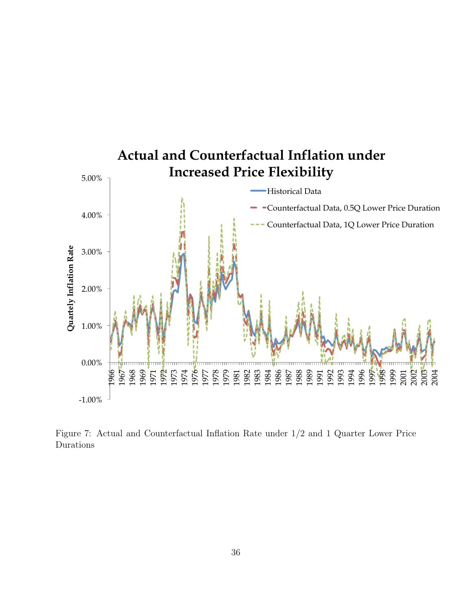

Figure 7: Actual and Counterfactual Inflation Rate under 1/2 and 1 Quarter Lower Price Durations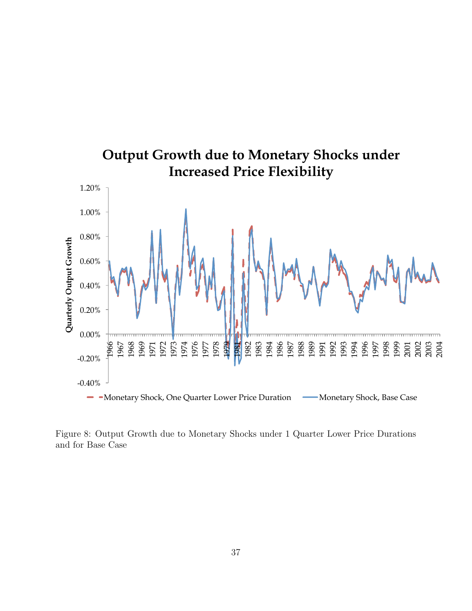

Figure 8: Output Growth due to Monetary Shocks under 1 Quarter Lower Price Durations and for Base Case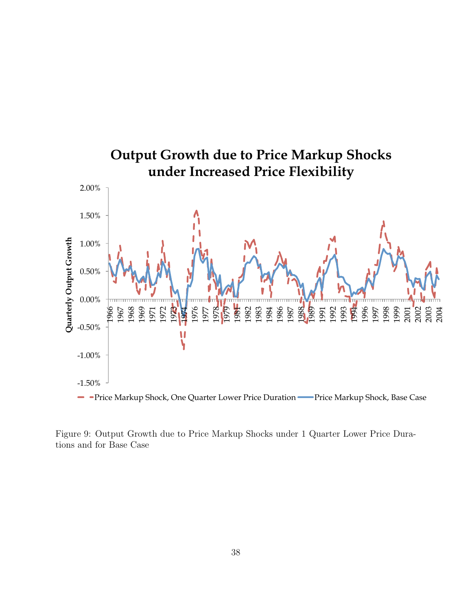

Figure 9: Output Growth due to Price Markup Shocks under 1 Quarter Lower Price Durations and for Base Case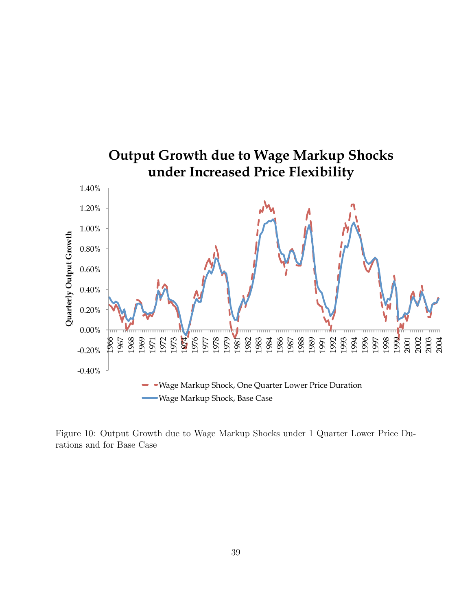

Figure 10: Output Growth due to Wage Markup Shocks under 1 Quarter Lower Price Durations and for Base Case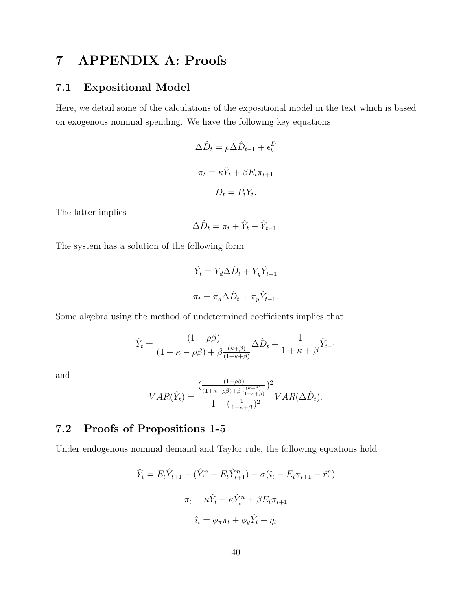# 7 APPENDIX A: Proofs

### 7.1 Expositional Model

Here, we detail some of the calculations of the expositional model in the text which is based on exogenous nominal spending. We have the following key equations

$$
\Delta \hat{D}_t = \rho \Delta \hat{D}_{t-1} + \epsilon_t^D
$$

$$
\pi_t = \kappa \hat{Y}_t + \beta E_t \pi_{t+1}
$$

$$
D_t = P_t Y_t.
$$

The latter implies

$$
\Delta \hat{D}_t = \pi_t + \hat{Y}_t - \hat{Y}_{t-1}.
$$

The system has a solution of the following form

$$
\hat{Y}_t = Y_d \Delta \hat{D}_t + Y_y \hat{Y}_{t-1}
$$

$$
\pi_t = \pi_d \Delta \hat{D}_t + \pi_y \hat{Y}_{t-1}.
$$

Some algebra using the method of undetermined coefficients implies that

$$
\hat{Y}_t = \frac{(1 - \rho \beta)}{(1 + \kappa - \rho \beta) + \beta \frac{(\kappa + \beta)}{(1 + \kappa + \beta)}} \Delta \hat{D}_t + \frac{1}{1 + \kappa + \beta} \hat{Y}_{t-1}
$$

and

$$
VAR(\hat{Y}_t) = \frac{\left(\frac{(1-\rho\beta)}{(1+\kappa-\rho\beta)+\beta\frac{(\kappa+\beta)}{(1+\kappa+\beta)}}\right)^2}{1-\left(\frac{1}{1+\kappa+\beta}\right)^2} VAR(\Delta \hat{D}_t).
$$

### 7.2 Proofs of Propositions 1-5

Under endogenous nominal demand and Taylor rule, the following equations hold

$$
\hat{Y}_t = E_t \hat{Y}_{t+1} + (\hat{Y}_t^n - E_t \hat{Y}_{t+1}^n) - \sigma(\hat{\imath}_t - E_t \pi_{t+1} - \hat{r}_t^n)
$$

$$
\pi_t = \kappa \hat{Y}_t - \kappa \hat{Y}_t^n + \beta E_t \pi_{t+1}
$$

$$
\hat{\imath}_t = \phi_\pi \pi_t + \phi_y \hat{Y}_t + \eta_t
$$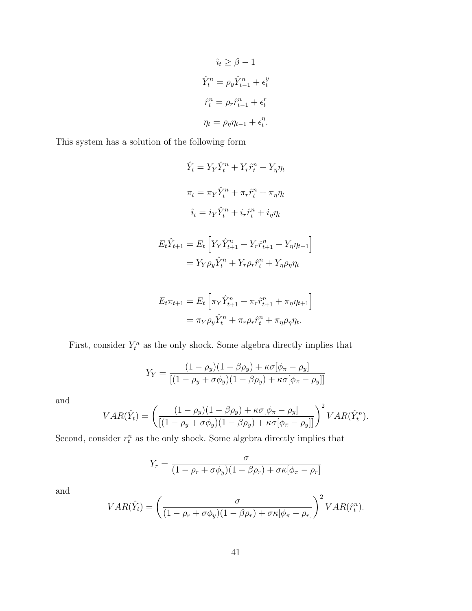$$
\hat{i}_t \ge \beta - 1
$$
  

$$
\hat{Y}_t^n = \rho_y \hat{Y}_{t-1}^n + \epsilon_t^y
$$
  

$$
\hat{r}_t^n = \rho_r \hat{r}_{t-1}^n + \epsilon_t^r
$$
  

$$
\eta_t = \rho_\eta \eta_{t-1} + \epsilon_t^\eta.
$$

This system has a solution of the following form

$$
\hat{Y}_t = Y_Y \hat{Y}_t^n + Y_r \hat{r}_t^n + Y_\eta \eta_t
$$

$$
\pi_t = \pi_Y \hat{Y}_t^n + \pi_r \hat{r}_t^n + \pi_\eta \eta_t
$$

$$
\hat{i}_t = i_Y \hat{Y}_t^n + i_r \hat{r}_t^n + i_\eta \eta_t
$$

$$
E_t \hat{Y}_{t+1} = E_t \left[ Y_Y \hat{Y}_{t+1}^n + Y_r \hat{r}_{t+1}^n + Y_\eta \eta_{t+1} \right]
$$

$$
= Y_Y \rho_y \hat{Y}_t^n + Y_r \rho_r \hat{r}_t^n + Y_\eta \rho_\eta \eta_t
$$

$$
E_t \pi_{t+1} = E_t \left[ \pi_Y \hat{Y}_{t+1}^n + \pi_r \hat{r}_{t+1}^n + \pi_\eta \eta_{t+1} \right]
$$

$$
= \pi_Y \rho_y \hat{Y}_t^n + \pi_r \rho_r \hat{r}_t^n + \pi_\eta \rho_\eta \eta_t.
$$

First, consider  $Y_t^n$  as the only shock. Some algebra directly implies that

$$
Y_Y = \frac{(1 - \rho_y)(1 - \beta \rho_y) + \kappa \sigma[\phi_\pi - \rho_y]}{[(1 - \rho_y + \sigma \phi_y)(1 - \beta \rho_y) + \kappa \sigma[\phi_\pi - \rho_y]]}
$$

and

$$
VAR(\hat{Y}_t) = \left( \frac{(1 - \rho_y)(1 - \beta \rho_y) + \kappa \sigma [\phi_\pi - \rho_y]}{[(1 - \rho_y + \sigma \phi_y)(1 - \beta \rho_y) + \kappa \sigma [\phi_\pi - \rho_y]]} \right)^2 VAR(\hat{Y}_t^n).
$$

Second, consider  $r_t^n$  as the only shock. Some algebra directly implies that

$$
Y_r = \frac{\sigma}{(1 - \rho_r + \sigma \phi_y)(1 - \beta \rho_r) + \sigma \kappa [\phi_\pi - \rho_r]}
$$

and

$$
VAR(\hat{Y}_t) = \left(\frac{\sigma}{(1 - \rho_r + \sigma \phi_y)(1 - \beta \rho_r) + \sigma \kappa [\phi_\pi - \rho_r]}\right)^2 VAR(\hat{r}_t^n).
$$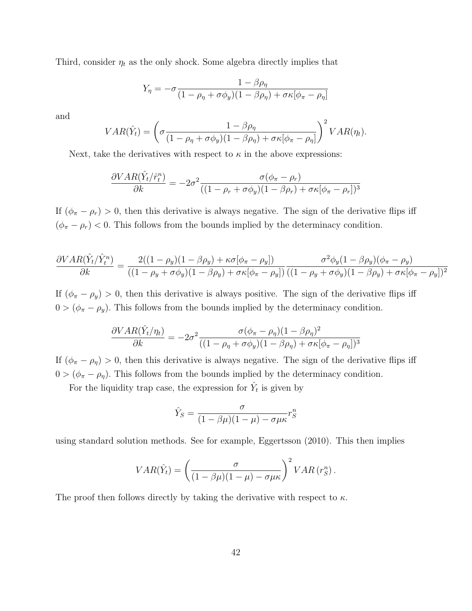Third, consider  $\eta_t$  as the only shock. Some algebra directly implies that

$$
Y_{\eta} = -\sigma \frac{1 - \beta \rho_{\eta}}{(1 - \rho_{\eta} + \sigma \phi_y)(1 - \beta \rho_{\eta}) + \sigma \kappa [\phi_{\pi} - \rho_{\eta}]}
$$

and

$$
VAR(\hat{Y}_t) = \left(\sigma \frac{1 - \beta \rho_\eta}{(1 - \rho_\eta + \sigma \phi_y)(1 - \beta \rho_\eta) + \sigma \kappa [\phi_\pi - \rho_\eta]}\right)^2 VAR(\eta_t).
$$

Next, take the derivatives with respect to  $\kappa$  in the above expressions:

$$
\frac{\partial VAR(\hat{Y}_t/\hat{r}_t^n)}{\partial k} = -2\sigma^2 \frac{\sigma(\phi_\pi - \rho_r)}{((1 - \rho_r + \sigma\phi_y)(1 - \beta\rho_r) + \sigma\kappa[\phi_\pi - \rho_r])^3}
$$

If  $(\phi_{\pi} - \rho_r) > 0$ , then this derivative is always negative. The sign of the derivative flips iff  $(\phi_{\pi} - \rho_r) < 0$ . This follows from the bounds implied by the determinacy condition.

$$
\frac{\partial VAR(\hat{Y}_t/\hat{Y}_t^n)}{\partial k} = \frac{2((1-\rho_y)(1-\beta\rho_y)+\kappa\sigma[\phi_\pi-\rho_y])}{((1-\rho_y+\sigma\phi_y)(1-\beta\rho_y)+\sigma\kappa[\phi_\pi-\rho_y])}\frac{\sigma^2\phi_y(1-\beta\rho_y)(\phi_\pi-\rho_y)}{((1-\rho_y+\sigma\phi_y)(1-\beta\rho_y)+\sigma\kappa[\phi_\pi-\rho_y])^2}
$$

If  $(\phi_{\pi} - \rho_y) > 0$ , then this derivative is always positive. The sign of the derivative flips iff  $0 > (\phi_{\pi} - \rho_y)$ . This follows from the bounds implied by the determinacy condition.

$$
\frac{\partial VAR(\hat{Y}_t/\eta_t)}{\partial k} = -2\sigma^2 \frac{\sigma(\phi_{\pi} - \rho_{\eta})(1 - \beta \rho_{\eta})^2}{((1 - \rho_{\eta} + \sigma \phi_y)(1 - \beta \rho_{\eta}) + \sigma \kappa[\phi_{\pi} - \rho_{\eta}])^3}
$$

If  $(\phi_{\pi} - \rho_{\eta}) > 0$ , then this derivative is always negative. The sign of the derivative flips iff  $0 > (\phi_{\pi} - \rho_{\eta})$ . This follows from the bounds implied by the determinacy condition.

For the liquidity trap case, the expression for  $\hat{Y}_t$  is given by

$$
\hat{Y}_S = \frac{\sigma}{(1 - \beta \mu)(1 - \mu) - \sigma \mu \kappa} r_S^n
$$

using standard solution methods. See for example, Eggertsson (2010). This then implies

$$
VAR(\hat{Y}_t) = \left(\frac{\sigma}{(1 - \beta \mu)(1 - \mu) - \sigma \mu \kappa}\right)^2 VAR(r_S^n).
$$

The proof then follows directly by taking the derivative with respect to  $\kappa$ .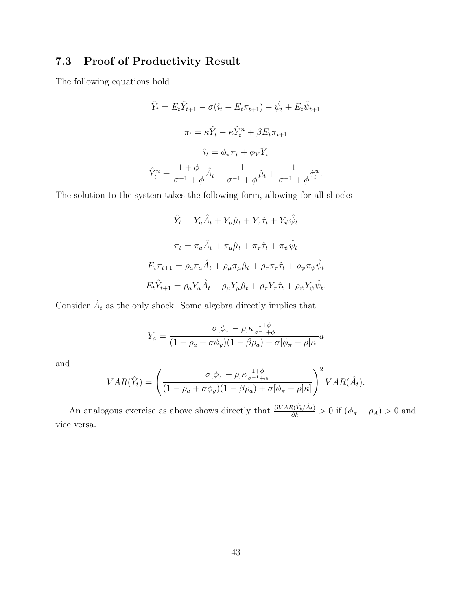# 7.3 Proof of Productivity Result

The following equations hold

$$
\hat{Y}_t = E_t \hat{Y}_{t+1} - \sigma(\hat{i}_t - E_t \pi_{t+1}) - \hat{\psi}_t + E_t \hat{\psi}_{t+1}
$$

$$
\pi_t = \kappa \hat{Y}_t - \kappa \hat{Y}_t^n + \beta E_t \pi_{t+1}
$$

$$
\hat{i}_t = \phi_\pi \pi_t + \phi_Y \hat{Y}_t
$$

$$
\hat{Y}_t^n = \frac{1 + \phi}{\sigma^{-1} + \phi} \hat{A}_t - \frac{1}{\sigma^{-1} + \phi} \hat{\mu}_t + \frac{1}{\sigma^{-1} + \phi} \hat{\tau}_t^w.
$$

The solution to the system takes the following form, allowing for all shocks

$$
\hat{Y}_t = Y_a \hat{A}_t + Y_\mu \hat{\mu}_t + Y_\tau \hat{\tau}_t + Y_\psi \hat{\psi}_t
$$
\n
$$
\pi_t = \pi_a \hat{A}_t + \pi_\mu \hat{\mu}_t + \pi_\tau \hat{\tau}_t + \pi_\psi \hat{\psi}_t
$$
\n
$$
E_t \pi_{t+1} = \rho_a \pi_a \hat{A}_t + \rho_\mu \pi_\mu \hat{\mu}_t + \rho_\tau \pi_\tau \hat{\tau}_t + \rho_\psi \pi_\psi \hat{\psi}_t
$$
\n
$$
E_t \hat{Y}_{t+1} = \rho_a Y_a \hat{A}_t + \rho_\mu Y_\mu \hat{\mu}_t + \rho_\tau Y_\tau \hat{\tau}_t + \rho_\psi Y_\psi \hat{\psi}_t.
$$

Consider  $\hat{A}_t$  as the only shock. Some algebra directly implies that

$$
Y_a = \frac{\sigma[\phi_{\pi} - \rho] \kappa \frac{1+\phi}{\sigma^{-1}+\phi}}{(1 - \rho_a + \sigma \phi_y)(1 - \beta \rho_a) + \sigma[\phi_{\pi} - \rho] \kappa]} a
$$

and

$$
VAR(\hat{Y}_t) = \left( \frac{\sigma[\phi_{\pi} - \rho] \kappa \frac{1+\phi}{\sigma^{-1}+\phi}}{(1 - \rho_a + \sigma \phi_y)(1 - \beta \rho_a) + \sigma[\phi_{\pi} - \rho] \kappa]} \right)^2 VAR(\hat{A}_t).
$$

An analogous exercise as above shows directly that  $\frac{\partial VAR(\hat{Y}_t/\hat{A}_t)}{\partial k} > 0$  if  $(\phi_\pi - \rho_A) > 0$  and vice versa.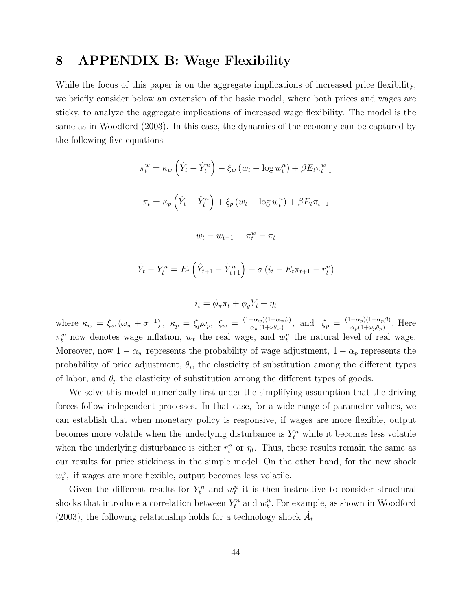# 8 APPENDIX B: Wage Flexibility

While the focus of this paper is on the aggregate implications of increased price flexibility, we briefly consider below an extension of the basic model, where both prices and wages are sticky, to analyze the aggregate implications of increased wage flexibility. The model is the same as in Woodford (2003). In this case, the dynamics of the economy can be captured by the following five equations

$$
\pi_t^w = \kappa_w \left(\hat{Y}_t - \hat{Y}_t^n\right) - \xi_w \left(w_t - \log w_t^n\right) + \beta E_t \pi_{t+1}^w
$$

$$
\pi_t = \kappa_p \left(\hat{Y}_t - \hat{Y}_t^n\right) + \xi_p \left(w_t - \log w_t^n\right) + \beta E_t \pi_{t+1}
$$

$$
w_t - w_{t-1} = \pi_t^w - \pi_t
$$

$$
\hat{Y}_t - Y_t^n = E_t \left( \hat{Y}_{t+1} - \hat{Y}_{t+1}^n \right) - \sigma \left( i_t - E_t \pi_{t+1} - r_t^n \right)
$$

$$
i_t = \phi_\pi \pi_t + \phi_y Y_t + \eta_t
$$

where  $\kappa_w = \xi_w \left( \omega_w + \sigma^{-1} \right)$ ,  $\kappa_p = \xi_p \omega_p$ ,  $\xi_w = \frac{(1 - \alpha_w)(1 - \alpha_w \beta)}{\alpha_w (1 + \nu \theta_w)}$  $\frac{-\alpha_w}{\alpha_w(1+\nu\theta_w)}$ , and  $\xi_p = \frac{(1-\alpha_p)(1-\alpha_p\beta)}{\alpha_p(1+\omega_p\theta_p)}$  $\frac{-\alpha_p(1-\alpha_p\beta)}{\alpha_p(1+\omega_p\theta_p)}$ . Here  $\pi_t^w$  now denotes wage inflation,  $w_t$  the real wage, and  $w_t^n$  the natural level of real wage. Moreover, now  $1 - \alpha_w$  represents the probability of wage adjustment,  $1 - \alpha_p$  represents the probability of price adjustment,  $\theta_w$  the elasticity of substitution among the different types of labor, and  $\theta_p$  the elasticity of substitution among the different types of goods.

We solve this model numerically first under the simplifying assumption that the driving forces follow independent processes. In that case, for a wide range of parameter values, we can establish that when monetary policy is responsive, if wages are more flexible, output becomes more volatile when the underlying disturbance is  $Y_t^n$  while it becomes less volatile when the underlying disturbance is either  $r_t^n$  or  $\eta_t$ . Thus, these results remain the same as our results for price stickiness in the simple model. On the other hand, for the new shock  $w_t^n$ , if wages are more flexible, output becomes less volatile.

Given the different results for  $Y_t^n$  and  $w_t^n$  it is then instructive to consider structural shocks that introduce a correlation between  $Y_t^n$  and  $w_t^n$ . For example, as shown in Woodford (2003), the following relationship holds for a technology shock  $\hat{A}_t$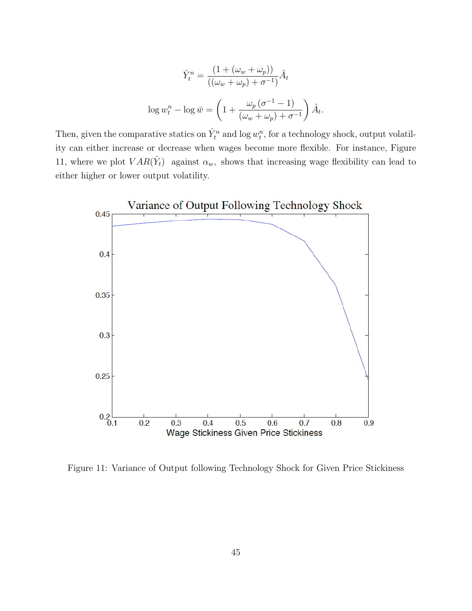$$
\hat{Y}_t^n = \frac{\left(1 + (\omega_w + \omega_p)\right)}{\left((\omega_w + \omega_p) + \sigma^{-1}\right)} \hat{A}_t
$$
\n
$$
\log w_t^n - \log \bar{w} = \left(1 + \frac{\omega_p \left(\sigma^{-1} - 1\right)}{(\omega_w + \omega_p) + \sigma^{-1}}\right) \hat{A}_t.
$$

Then, given the comparative statics on  $\hat{Y}_t^n$  and  $\log w_t^n$ , for a technology shock, output volatility can either increase or decrease when wages become more flexible. For instance, Figure 11, where we plot  $VAR(\hat{Y}_t)$  against  $\alpha_w$ , shows that increasing wage flexibility can lead to either higher or lower output volatility.



Figure 11: Variance of Output following Technology Shock for Given Price Stickiness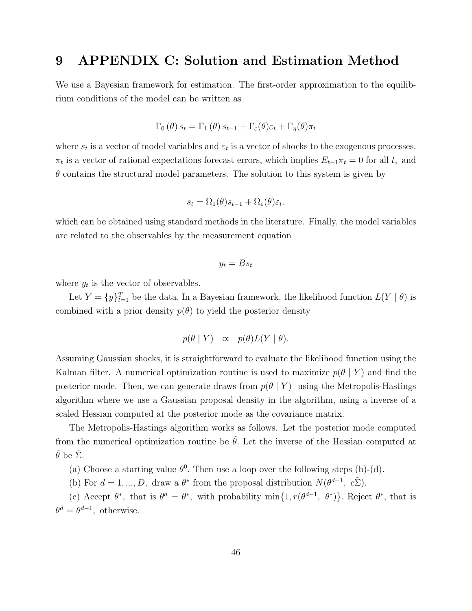# 9 APPENDIX C: Solution and Estimation Method

We use a Bayesian framework for estimation. The first-order approximation to the equilibrium conditions of the model can be written as

$$
\Gamma_0(\theta) s_t = \Gamma_1(\theta) s_{t-1} + \Gamma_{\varepsilon}(\theta) \varepsilon_t + \Gamma_{\eta}(\theta) \pi_t
$$

where  $s_t$  is a vector of model variables and  $\varepsilon_t$  is a vector of shocks to the exogenous processes.  $\pi_t$  is a vector of rational expectations forecast errors, which implies  $E_{t-1}\pi_t = 0$  for all t, and  $\theta$  contains the structural model parameters. The solution to this system is given by

$$
s_t = \Omega_1(\theta)s_{t-1} + \Omega_{\varepsilon}(\theta)\varepsilon_t.
$$

which can be obtained using standard methods in the literature. Finally, the model variables are related to the observables by the measurement equation

$$
y_t = B s_t
$$

where  $y_t$  is the vector of observables.

Let  $Y = \{y\}_{t=1}^T$  be the data. In a Bayesian framework, the likelihood function  $L(Y | \theta)$  is combined with a prior density  $p(\theta)$  to yield the posterior density

$$
p(\theta | Y) \propto p(\theta) L(Y | \theta).
$$

Assuming Gaussian shocks, it is straightforward to evaluate the likelihood function using the Kalman filter. A numerical optimization routine is used to maximize  $p(\theta | Y)$  and find the posterior mode. Then, we can generate draws from  $p(\theta | Y)$  using the Metropolis-Hastings algorithm where we use a Gaussian proposal density in the algorithm, using a inverse of a scaled Hessian computed at the posterior mode as the covariance matrix.

The Metropolis-Hastings algorithm works as follows. Let the posterior mode computed from the numerical optimization routine be  $\tilde{\theta}$ . Let the inverse of the Hessian computed at  $\tilde{\theta}$  be  $\tilde{\Sigma}$ .

(a) Choose a starting value  $\theta^0$ . Then use a loop over the following steps (b)-(d).

(b) For  $d = 1, ..., D$ , draw a  $\theta^*$  from the proposal distribution  $N(\theta^{d-1}, c\tilde{\Sigma})$ .

(c) Accept  $\theta^*$ , that is  $\theta^d = \theta^*$ , with probability min{1,  $r(\theta^{d-1}, \theta^*)$ }. Reject  $\theta^*$ , that is  $\theta^d = \theta^{d-1}$ , otherwise.